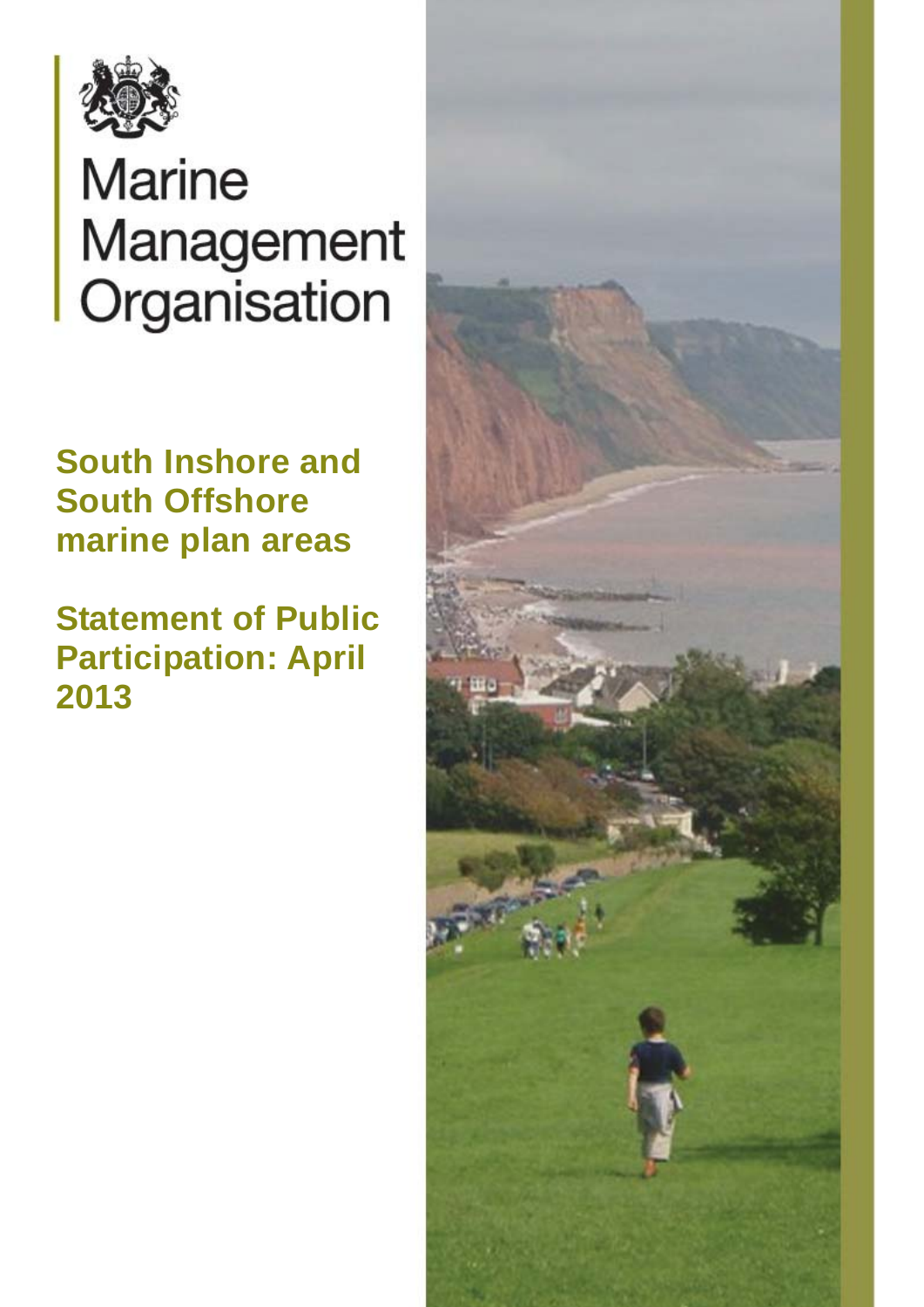

# Marine Management Organisation

**South Inshore and South Offshore marine plan areas** 

**Statement of Public Participation: April 2013** 

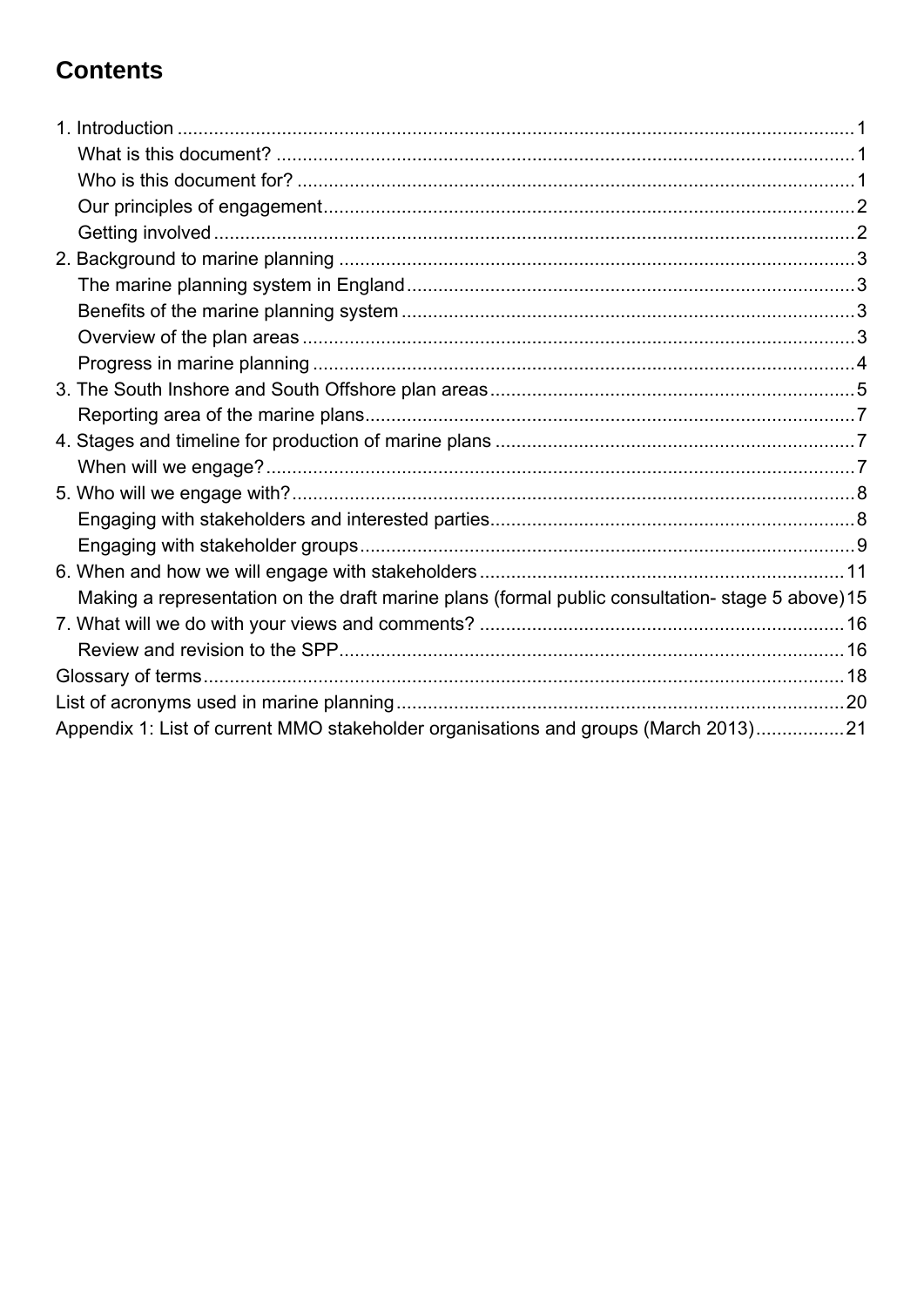# **Contents**

| Making a representation on the draft marine plans (formal public consultation-stage 5 above) 15 |  |
|-------------------------------------------------------------------------------------------------|--|
|                                                                                                 |  |
|                                                                                                 |  |
|                                                                                                 |  |
|                                                                                                 |  |
| Appendix 1: List of current MMO stakeholder organisations and groups (March 2013)21             |  |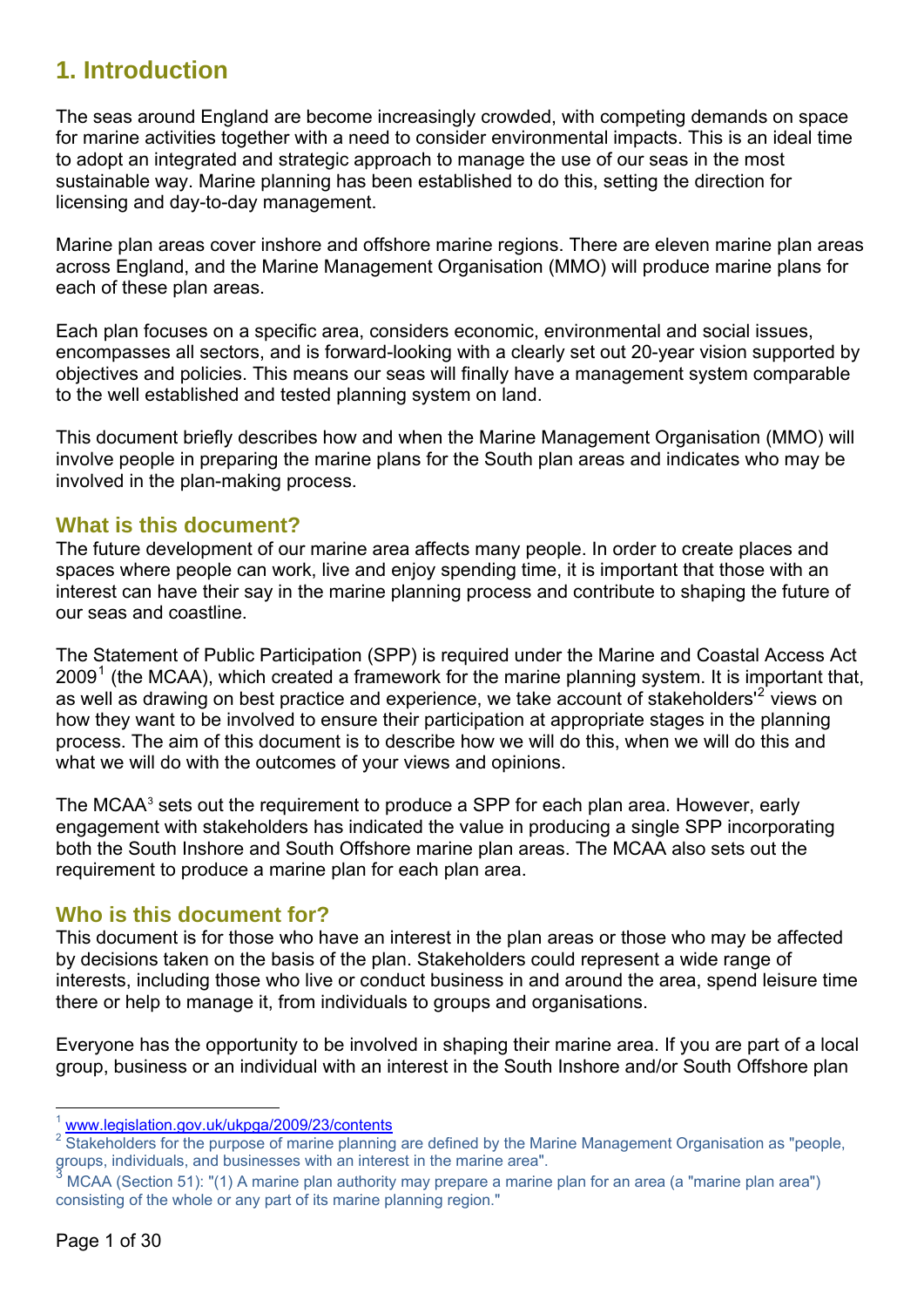# <span id="page-2-0"></span>**1. Introduction**

The seas around England are become increasingly crowded, with competing demands on space for marine activities together with a need to consider environmental impacts. This is an ideal time to adopt an integrated and strategic approach to manage the use of our seas in the most sustainable way. Marine planning has been established to do this, setting the direction for licensing and day-to-day management.

Marine plan areas cover inshore and offshore marine regions. There are eleven marine plan areas across England, and the Marine Management Organisation (MMO) will produce marine plans for each of these plan areas.

Each plan focuses on a specific area, considers economic, environmental and social issues, encompasses all sectors, and is forward-looking with a clearly set out 20-year vision supported by objectives and policies. This means our seas will finally have a management system comparable to the well established and tested planning system on land.

This document briefly describes how and when the Marine Management Organisation (MMO) will involve people in preparing the marine plans for the South plan areas and indicates who may be involved in the plan-making process.

## **What is this document?**

The future development of our marine area affects many people. In order to create places and spaces where people can work, live and enjoy spending time, it is important that those with an interest can have their say in the marine planning process and contribute to shaping the future of our seas and coastline.

The Statement of Public Participation (SPP) is required under the Marine and Coastal Access Act  $2009<sup>1</sup>$  $2009<sup>1</sup>$  $2009<sup>1</sup>$  (the MCAA), which created a framework for the marine planning system. It is important that, as well as drawing on best practice and experience, we take account of stakeholders'<sup>[2](#page-2-2)</sup> views on how they want to be involved to ensure their participation at appropriate stages in the planning process. The aim of this document is to describe how we will do this, when we will do this and what we will do with the outcomes of your views and opinions.

The MCAA<sup>[3](#page-2-3)</sup> sets out the requirement to produce a SPP for each plan area. However, early engagement with stakeholders has indicated the value in producing a single SPP incorporating both the South Inshore and South Offshore marine plan areas. The MCAA also sets out the requirement to produce a marine plan for each plan area.

#### **Who is this document for?**

This document is for those who have an interest in the plan areas or those who may be affected by decisions taken on the basis of the plan. Stakeholders could represent a wide range of interests, including those who live or conduct business in and around the area, spend leisure time there or help to manage it, from individuals to groups and organisations.

Everyone has the opportunity to be involved in shaping their marine area. If you are part of a local group, business or an individual with an interest in the South Inshore and/or South Offshore plan

<sup>&</sup>lt;u>.</u>  $\frac{1}{2}$  [www.legislation.gov.uk/ukpga/2009/23/contents](http://www.legislation.gov.uk/ukpga/2009/23/contents)

<span id="page-2-2"></span><span id="page-2-1"></span>Stakeholders for the purpose of marine planning are defined by the Marine Management Organisation as "people, groups, individuals, and businesses with an interest in the marine area".<br>3 MCAA (Section 51): "(1) A marine alon autherity may arenese a marine

<span id="page-2-3"></span>MCAA (Section 51): "(1) A marine plan authority may prepare a marine plan for an area (a "marine plan area") consisting of the whole or any part of its marine planning region."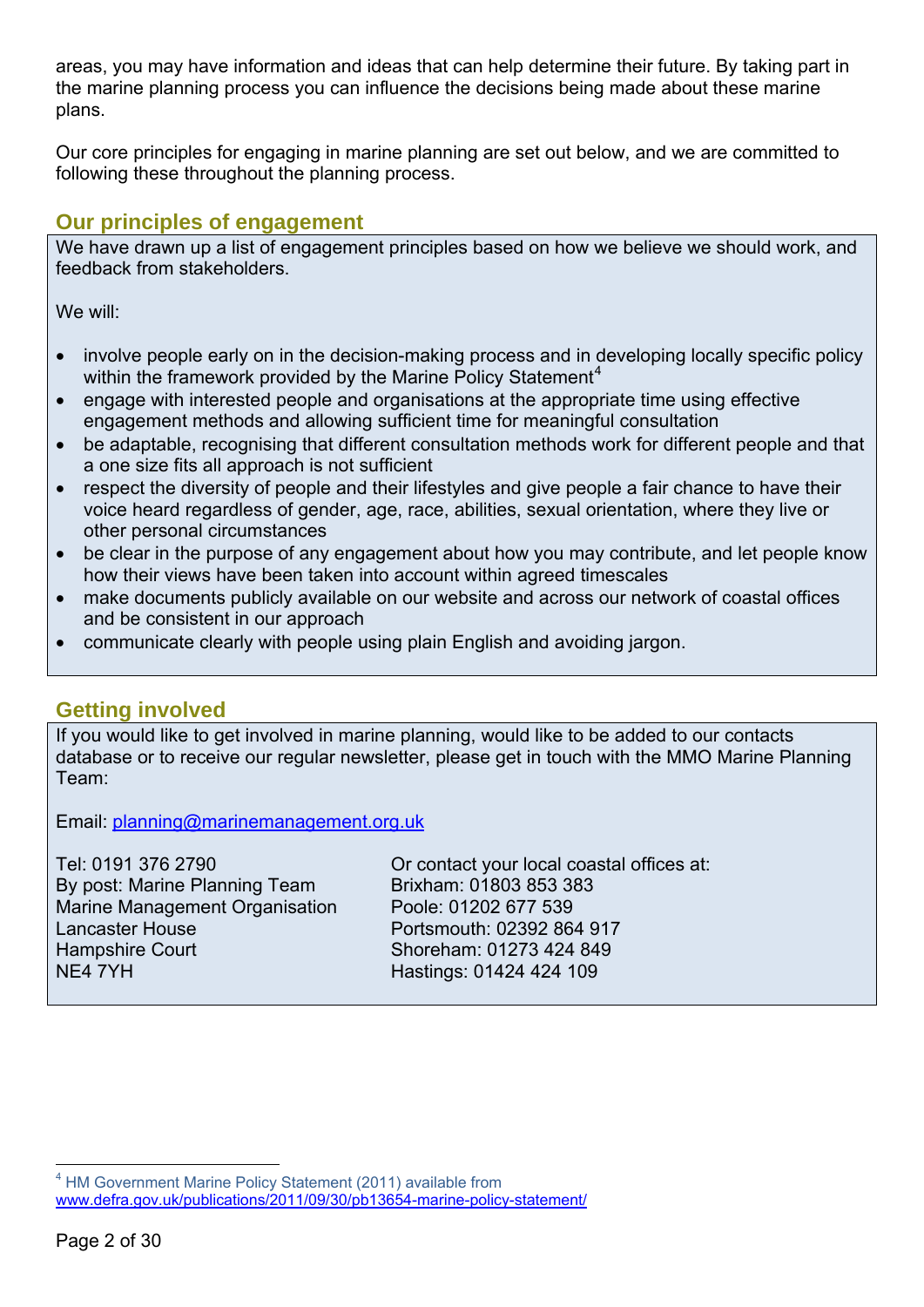<span id="page-3-0"></span>areas, you may have information and ideas that can help determine their future. By taking part in the marine planning process you can influence the decisions being made about these marine plans.

Our core principles for engaging in marine planning are set out below, and we are committed to following these throughout the planning process.

## **Our principles of engagement**

We have drawn up a list of engagement principles based on how we believe we should work, and feedback from stakeholders.

We will:

- involve people early on in the decision-making process and in developing locally specific policy within the framework provided by the Marine Policy Statement<sup>[4](#page-3-1)</sup>
- engage with interested people and organisations at the appropriate time using effective engagement methods and allowing sufficient time for meaningful consultation
- be adaptable, recognising that different consultation methods work for different people and that a one size fits all approach is not sufficient
- respect the diversity of people and their lifestyles and give people a fair chance to have their voice heard regardless of gender, age, race, abilities, sexual orientation, where they live or other personal circumstances
- be clear in the purpose of any engagement about how you may contribute, and let people know how their views have been taken into account within agreed timescales
- make documents publicly available on our website and across our network of coastal offices and be consistent in our approach
- communicate clearly with people using plain English and avoiding jargon.

## **Getting involved**

If you would like to get involved in marine planning, would like to be added to our contacts database or to receive our regular newsletter, please get in touch with the MMO Marine Planning Team:

Email: [planning@marinemanagement.org.uk](mailto:planning@marinemanagement.org.uk)

Or contact your local coastal offices at: Brixham: 01803 853 383 Poole: 01202 677 539 Portsmouth: 02392 864 917 Shoreham: 01273 424 849 Hastings: 01424 424 109

1

<span id="page-3-1"></span><sup>&</sup>lt;sup>4</sup> HM Government Marine Policy Statement (2011) available from [www.defra.gov.uk/publications/2011/09/30/pb13654-marine-policy-statement/](http://www.defra.gov.uk/publications/2011/09/30/pb13654-marine-policy-statement/)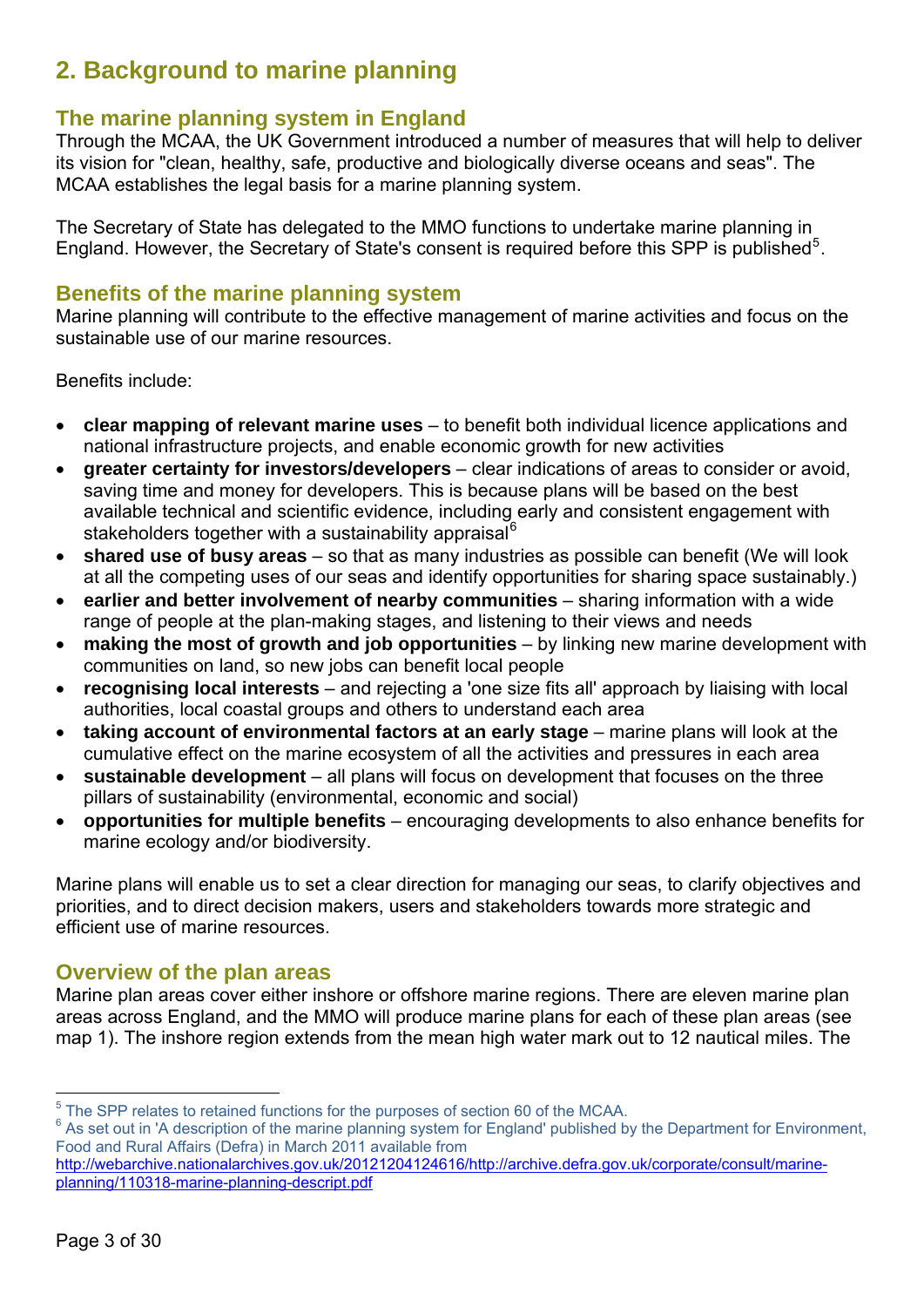# <span id="page-4-0"></span>**2. Background to marine planning**

# **The marine planning system in England**

Through the MCAA, the UK Government introduced a number of measures that will help to deliver its vision for "clean, healthy, safe, productive and biologically diverse oceans and seas". The MCAA establishes the legal basis for a marine planning system.

The Secretary of State has delegated to the MMO functions to undertake marine planning in England. However, the Secretary of State's consent is required before this SPP is published<sup>[5](#page-4-1)</sup>.

## **Benefits of the marine planning system**

Marine planning will contribute to the effective management of marine activities and focus on the sustainable use of our marine resources.

Benefits include:

- **clear mapping of relevant marine uses** to benefit both individual licence applications and national infrastructure projects, and enable economic growth for new activities
- **greater certainty for investors/developers**  clear indications of areas to consider or avoid, saving time and money for developers. This is because plans will be based on the best available technical and scientific evidence, including early and consistent engagement with stakeholders together with a sustainability appraisal<sup>[6](#page-4-2)</sup>
- **shared use of busy areas** so that as many industries as possible can benefit (We will look at all the competing uses of our seas and identify opportunities for sharing space sustainably.)
- **earlier and better involvement of nearby communities** sharing information with a wide range of people at the plan-making stages, and listening to their views and needs
- **making the most of growth and job opportunities** by linking new marine development with communities on land, so new jobs can benefit local people
- **recognising local interests** and rejecting a 'one size fits all' approach by liaising with local authorities, local coastal groups and others to understand each area
- **taking account of environmental factors at an early stage** marine plans will look at the cumulative effect on the marine ecosystem of all the activities and pressures in each area
- **sustainable development** all plans will focus on development that focuses on the three pillars of sustainability (environmental, economic and social)
- **opportunities for multiple benefits** encouraging developments to also enhance benefits for marine ecology and/or biodiversity.

Marine plans will enable us to set a clear direction for managing our seas, to clarify objectives and priorities, and to direct decision makers, users and stakeholders towards more strategic and efficient use of marine resources.

## **Overview of the plan areas**

Marine plan areas cover either inshore or offshore marine regions. There are eleven marine plan areas across England, and the MMO will produce marine plans for each of these plan areas (see map 1). The inshore region extends from the mean high water mark out to 12 nautical miles. The

<sup>1</sup>  $^5$  The SPP relates to retained functions for the purposes of section 60 of the MCAA.

<span id="page-4-2"></span><span id="page-4-1"></span> $6$  As set out in 'A description of the marine planning system for England' published by the Department for Environment, Food and Rural Affairs (Defra) in March 2011 available from

[http://webarchive.nationalarchives.gov.uk/20121204124616/http://archive.defra.gov.uk/corporate/consult/marine](http://webarchive.nationalarchives.gov.uk/20121204124616/http://archive.defra.gov.uk/corporate/consult/marine-planning/110318-marine-planning-descript.pdf)[planning/110318-marine-planning-descript.pdf](http://webarchive.nationalarchives.gov.uk/20121204124616/http://archive.defra.gov.uk/corporate/consult/marine-planning/110318-marine-planning-descript.pdf)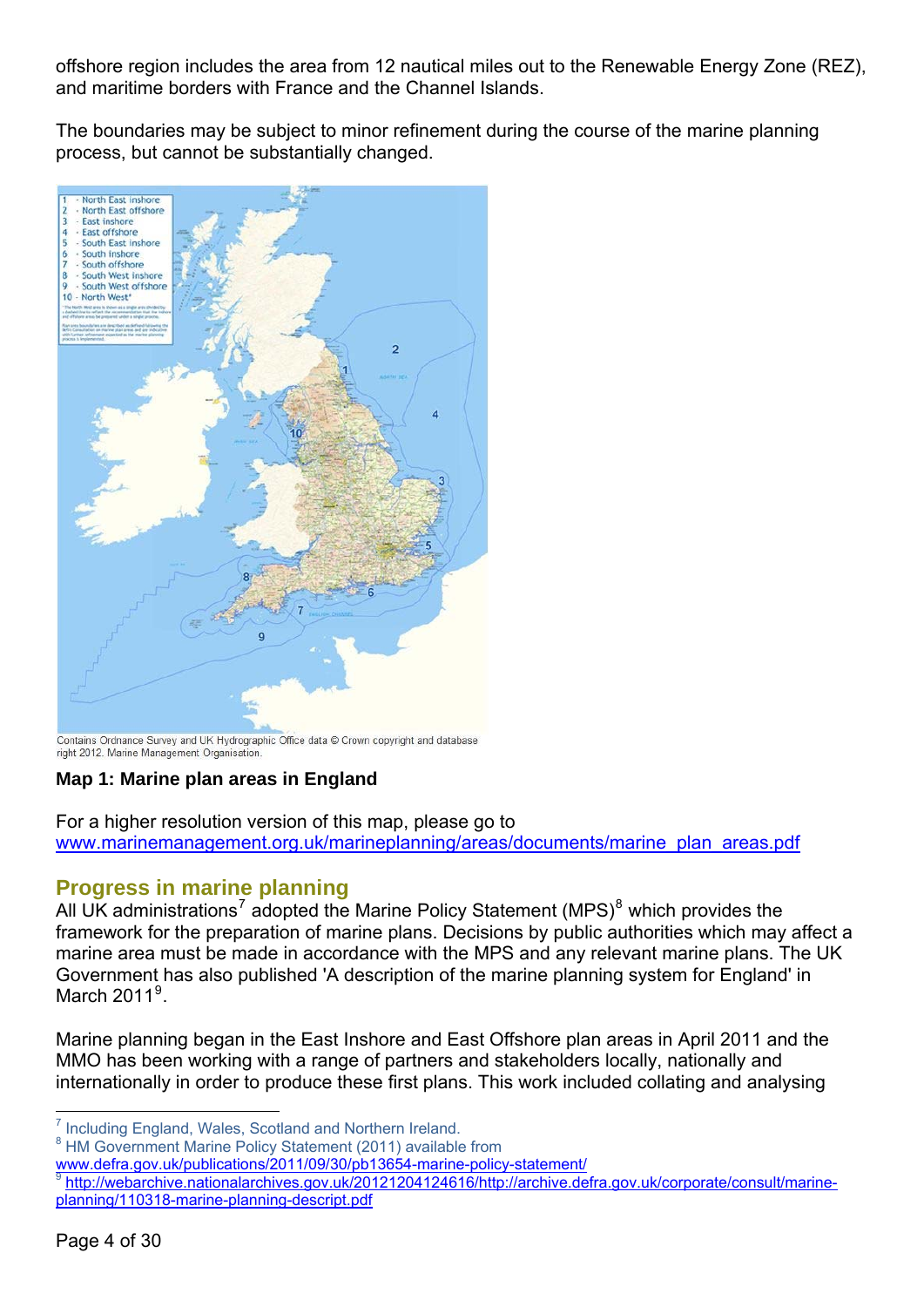<span id="page-5-0"></span>offshore region includes the area from 12 nautical miles out to the Renewable Energy Zone (REZ), and maritime borders with France and the Channel Islands.

The boundaries may be subject to minor refinement during the course of the marine planning process, but cannot be substantially changed.



Contains Ordnance Survey and UK Hydrographic Office data @ Crown copyright and database right 2012. Marine Management Organisation.

## **Map 1: Marine plan areas in England**

For a higher resolution version of this map, please go to [www.marinemanagement.org.uk/marineplanning/areas/documents/marine\\_plan\\_areas.pdf](http://www.marinemanagement.org.uk/marineplanning/areas/documents/marine_plan_areas.pdf)

## **Progress in marine planning**

All UK administrations<sup>[7](#page-5-1)</sup> adopted the Marine Policy Statement (MPS)<sup>[8](#page-5-2)</sup> which provides the framework for the preparation of marine plans. Decisions by public authorities which may affect a marine area must be made in accordance with the MPS and any relevant marine plans. The UK Government has also published 'A description of the marine planning system for England' in March  $2011<sup>9</sup>$  $2011<sup>9</sup>$  $2011<sup>9</sup>$ .

Marine planning began in the East Inshore and East Offshore plan areas in April 2011 and the MMO has been working with a range of partners and stakeholders locally, nationally and internationally in order to produce these first plans. This work included collating and analysing

<sup>1</sup> <sup>7</sup> Including England, Wales, Scotland and Northern Ireland.

<span id="page-5-2"></span><span id="page-5-1"></span><sup>&</sup>lt;sup>8</sup> HM Government Marine Policy Statement (2011) available from

[www.defra.gov.uk/publications/2011/09/30/pb13654-marine-policy-statement/](http://www.defra.gov.uk/publications/2011/09/30/pb13654-marine-policy-statement/)

<span id="page-5-3"></span><sup>9</sup> [http://webarchive.nationalarchives.gov.uk/20121204124616/http://archive.defra.gov.uk/corporate/consult/marine](http://webarchive.nationalarchives.gov.uk/20121204124616/http://archive.defra.gov.uk/corporate/consult/marine-planning/110318-marine-planning-descript.pdf)[planning/110318-marine-planning-descript.pdf](http://webarchive.nationalarchives.gov.uk/20121204124616/http://archive.defra.gov.uk/corporate/consult/marine-planning/110318-marine-planning-descript.pdf)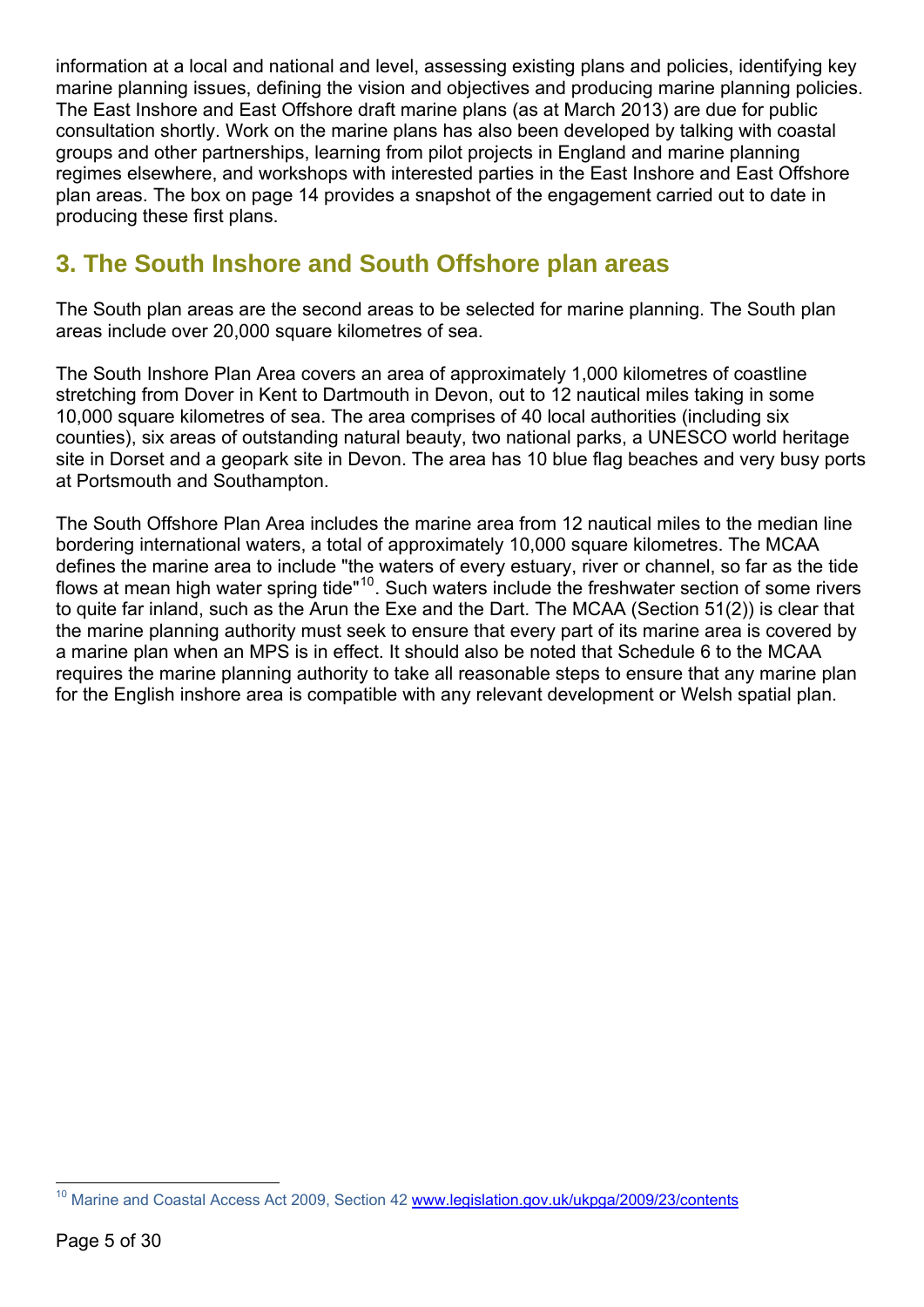<span id="page-6-0"></span>information at a local and national and level, assessing existing plans and policies, identifying key marine planning issues, defining the vision and objectives and producing marine planning policies. The East Inshore and East Offshore draft marine plans (as at March 2013) are due for public consultation shortly. Work on the marine plans has also been developed by talking with coastal groups and other partnerships, learning from pilot projects in England and marine planning regimes elsewhere, and workshops with interested parties in the East Inshore and East Offshore plan areas. The box on page 14 provides a snapshot of the engagement carried out to date in producing these first plans.

# **3. The South Inshore and South Offshore plan areas**

The South plan areas are the second areas to be selected for marine planning. The South plan areas include over 20,000 square kilometres of sea.

The South Inshore Plan Area covers an area of approximately 1,000 kilometres of coastline stretching from Dover in Kent to Dartmouth in Devon, out to 12 nautical miles taking in some 10,000 square kilometres of sea. The area comprises of 40 local authorities (including six counties), six areas of outstanding natural beauty, two national parks, a UNESCO world heritage site in Dorset and a geopark site in Devon. The area has 10 blue flag beaches and very busy ports at Portsmouth and Southampton.

The South Offshore Plan Area includes the marine area from 12 nautical miles to the median line bordering international waters, a total of approximately 10,000 square kilometres. The MCAA defines the marine area to include "the waters of every estuary, river or channel, so far as the tide flows at mean high water spring tide"<sup>[10](#page-6-1)</sup>. Such waters include the freshwater section of some rivers to quite far inland, such as the Arun the Exe and the Dart. The MCAA (Section 51(2)) is clear that the marine planning authority must seek to ensure that every part of its marine area is covered by a marine plan when an MPS is in effect. It should also be noted that Schedule 6 to the MCAA requires the marine planning authority to take all reasonable steps to ensure that any marine plan for the English inshore area is compatible with any relevant development or Welsh spatial plan.

<span id="page-6-1"></span> $10$ 10 Marine and Coastal Access Act 2009, Section 42 [www.legislation.gov.uk/ukpga/2009/23/contents](http://www.legislation.gov.uk/ukpga/2009/23/contents)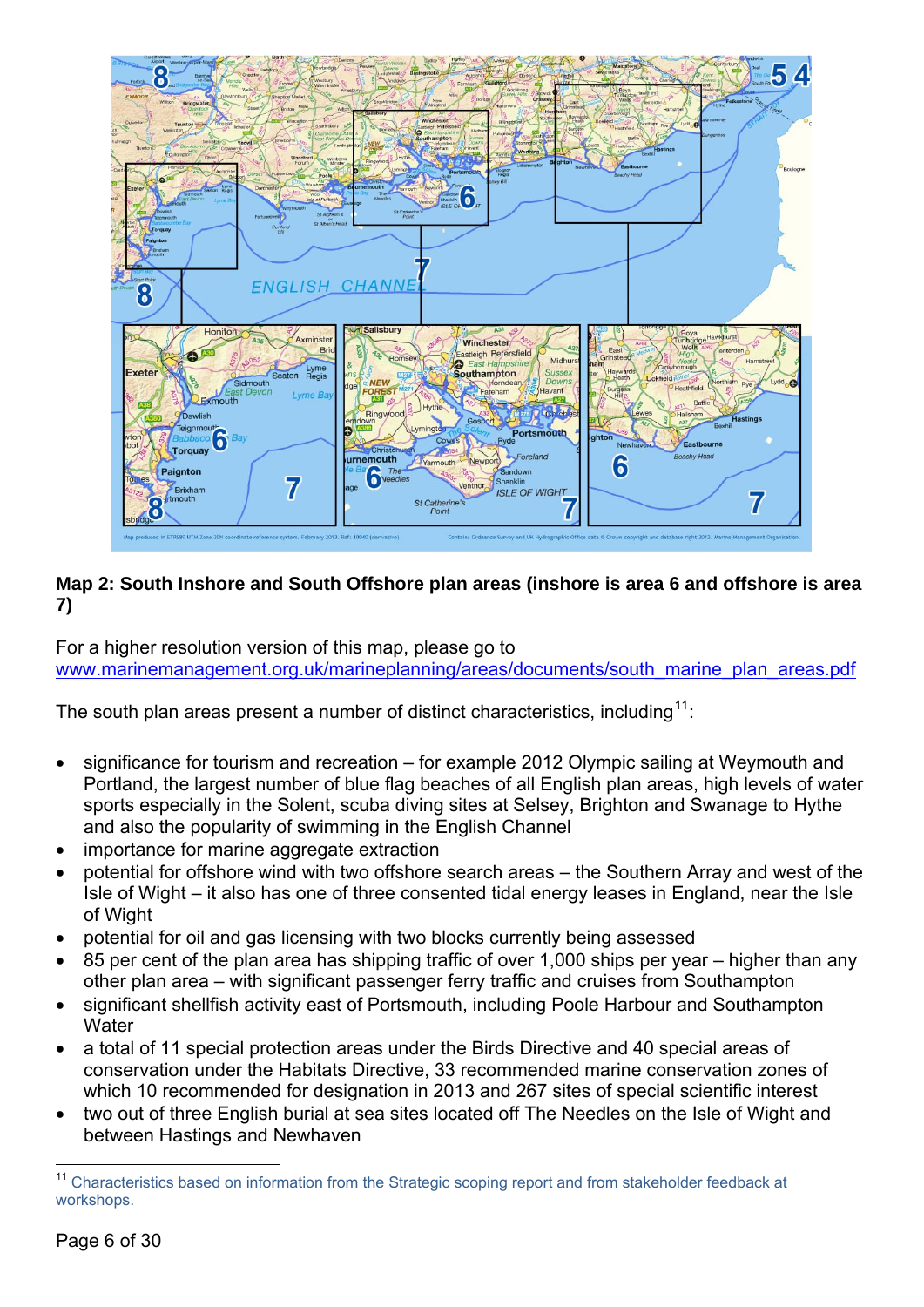

#### **Map 2: South Inshore and South Offshore plan areas (inshore is area 6 and offshore is area 7)**

For a higher resolution version of this map, please go to [www.marinemanagement.org.uk/marineplanning/areas/documents/south\\_marine\\_plan\\_areas.pdf](http://www.marinemanagement.org.uk/marineplanning/areas/documents/south_marine_plan_areas.pdf)

The south plan areas present a number of distinct characteristics, including<sup>[11](#page-7-0)</sup>:

- significance for tourism and recreation for example 2012 Olympic sailing at Weymouth and Portland, the largest number of blue flag beaches of all English plan areas, high levels of water sports especially in the Solent, scuba diving sites at Selsey, Brighton and Swanage to Hythe and also the popularity of swimming in the English Channel
- importance for marine aggregate extraction
- potential for offshore wind with two offshore search areas the Southern Array and west of the Isle of Wight – it also has one of three consented tidal energy leases in England, near the Isle of Wight
- potential for oil and gas licensing with two blocks currently being assessed
- 85 per cent of the plan area has shipping traffic of over 1,000 ships per year higher than any other plan area – with significant passenger ferry traffic and cruises from Southampton
- significant shellfish activity east of Portsmouth, including Poole Harbour and Southampton **Water**
- a total of 11 special protection areas under the Birds Directive and 40 special areas of conservation under the Habitats Directive, 33 recommended marine conservation zones of which 10 recommended for designation in 2013 and 267 sites of special scientific interest
- two out of three English burial at sea sites located off The Needles on the Isle of Wight and between Hastings and Newhaven

<span id="page-7-0"></span><sup>1</sup> <sup>11</sup> Characteristics based on information from the Strategic scoping report and from stakeholder feedback at workshops.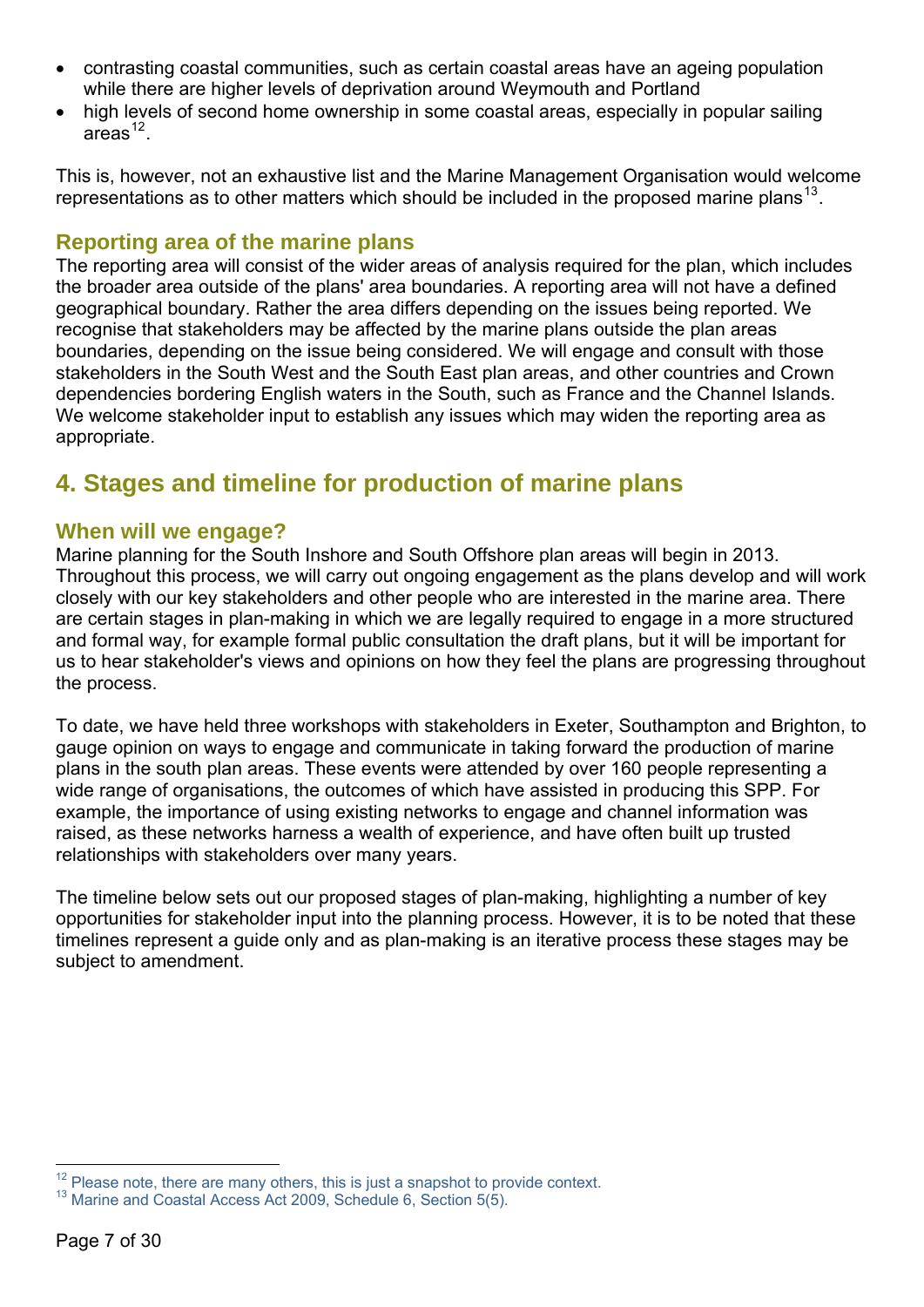- <span id="page-8-0"></span>• contrasting coastal communities, such as certain coastal areas have an ageing population while there are higher levels of deprivation around Weymouth and Portland
- high levels of second home ownership in some coastal areas, especially in popular sailing  $area<sup>12</sup>$  $area<sup>12</sup>$  $area<sup>12</sup>$

This is, however, not an exhaustive list and the Marine Management Organisation would welcome representations as to other matters which should be included in the proposed marine plans<sup>[13](#page-8-2)</sup>.

## **Reporting area of the marine plans**

The reporting area will consist of the wider areas of analysis required for the plan, which includes the broader area outside of the plans' area boundaries. A reporting area will not have a defined geographical boundary. Rather the area differs depending on the issues being reported. We recognise that stakeholders may be affected by the marine plans outside the plan areas boundaries, depending on the issue being considered. We will engage and consult with those stakeholders in the South West and the South East plan areas, and other countries and Crown dependencies bordering English waters in the South, such as France and the Channel Islands. We welcome stakeholder input to establish any issues which may widen the reporting area as appropriate.

# **4. Stages and timeline for production of marine plans**

## **When will we engage?**

Marine planning for the South Inshore and South Offshore plan areas will begin in 2013. Throughout this process, we will carry out ongoing engagement as the plans develop and will work closely with our key stakeholders and other people who are interested in the marine area. There are certain stages in plan-making in which we are legally required to engage in a more structured and formal way, for example formal public consultation the draft plans, but it will be important for us to hear stakeholder's views and opinions on how they feel the plans are progressing throughout the process.

To date, we have held three workshops with stakeholders in Exeter, Southampton and Brighton, to gauge opinion on ways to engage and communicate in taking forward the production of marine plans in the south plan areas. These events were attended by over 160 people representing a wide range of organisations, the outcomes of which have assisted in producing this SPP. For example, the importance of using existing networks to engage and channel information was raised, as these networks harness a wealth of experience, and have often built up trusted relationships with stakeholders over many years.

The timeline below sets out our proposed stages of plan-making, highlighting a number of key opportunities for stakeholder input into the planning process. However, it is to be noted that these timelines represent a guide only and as plan-making is an iterative process these stages may be subject to amendment.

<span id="page-8-1"></span><sup>1</sup> <sup>12</sup> Please note, there are many others, this is just a snapshot to provide context.<br><sup>13</sup> Marine and Coastal Access Act 2009, Schedule 6, Section 5(5).

<span id="page-8-2"></span>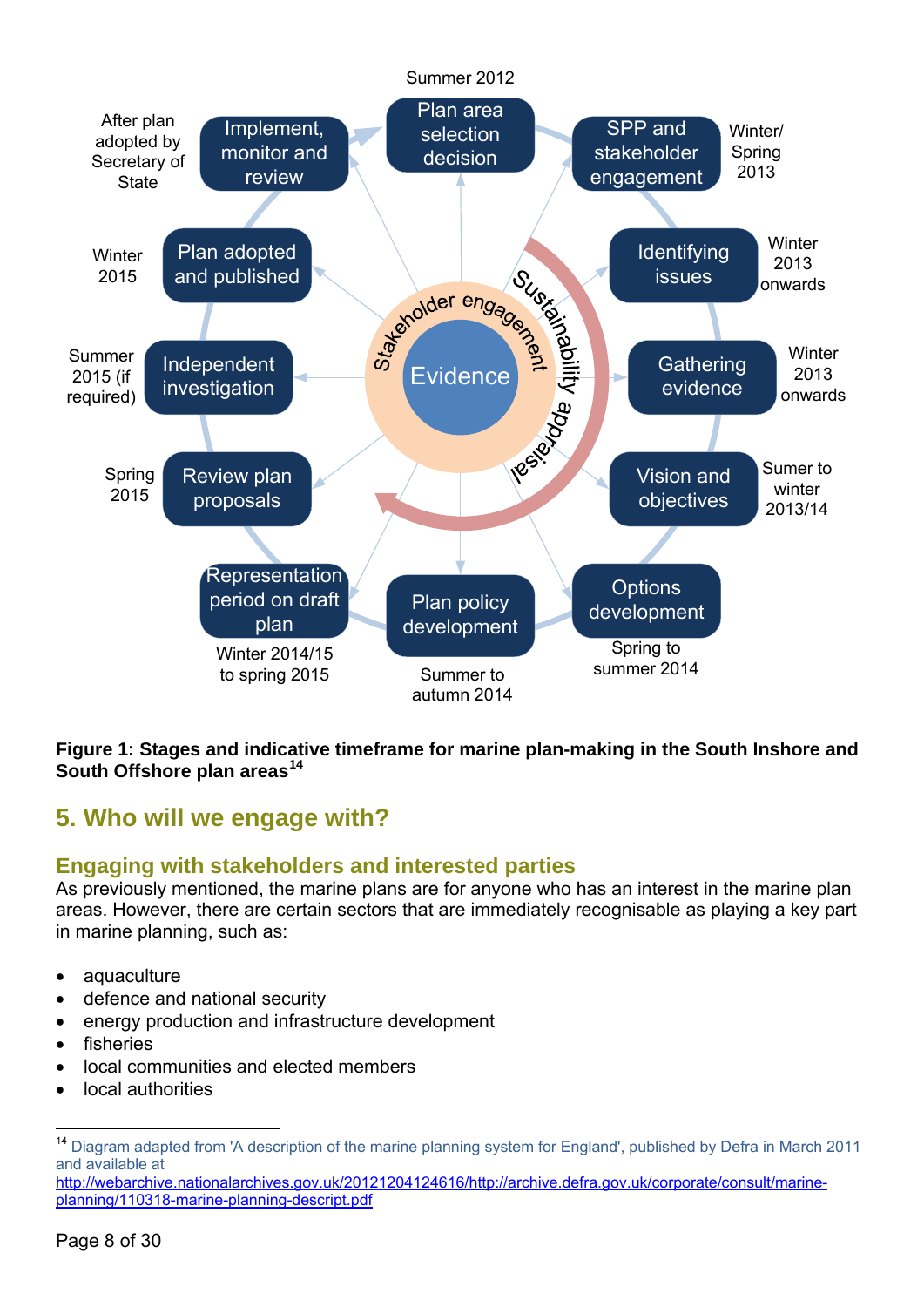<span id="page-9-0"></span>

#### **Figure 1: Stages and indicative timeframe for marine plan-making in the South Inshore and South Offshore plan areas[14](#page-9-1)**

# **5. Who will we engage with?**

## **Engaging with stakeholders and interested parties**

As previously mentioned, the marine plans are for anyone who has an interest in the marine plan areas. However, there are certain sectors that are immediately recognisable as playing a key part in marine planning, such as:

- aquaculture
- defence and national security
- energy production and infrastructure development
- **fisheries**
- local communities and elected members
- local authorities

<span id="page-9-1"></span> $14$ <sup>14</sup> Diagram adapted from 'A description of the marine planning system for England', published by Defra in March 2011 and available at

[http://webarchive.nationalarchives.gov.uk/20121204124616/http://archive.defra.gov.uk/corporate/consult/marine](http://webarchive.nationalarchives.gov.uk/20121204124616/http://archive.defra.gov.uk/corporate/consult/marine-planning/110318-marine-planning-descript.pdf)[planning/110318-marine-planning-descript.pdf](http://webarchive.nationalarchives.gov.uk/20121204124616/http://archive.defra.gov.uk/corporate/consult/marine-planning/110318-marine-planning-descript.pdf)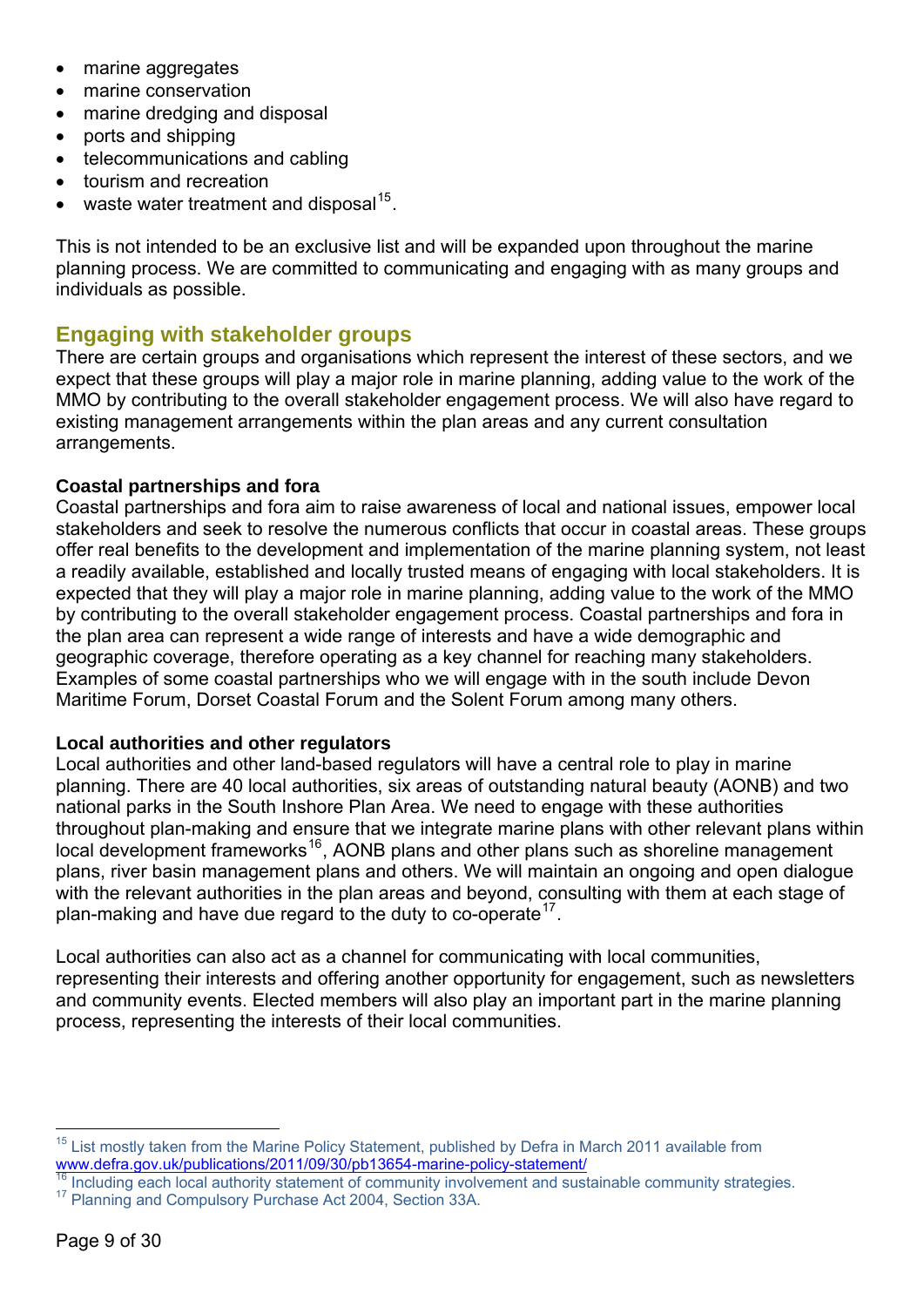- <span id="page-10-0"></span>• marine aggregates
- marine conservation
- marine dredging and disposal
- ports and shipping
- telecommunications and cabling
- tourism and recreation
- waste water treatment and disposal<sup>[15](#page-10-1)</sup>.

This is not intended to be an exclusive list and will be expanded upon throughout the marine planning process. We are committed to communicating and engaging with as many groups and individuals as possible.

## **Engaging with stakeholder groups**

There are certain groups and organisations which represent the interest of these sectors, and we expect that these groups will play a major role in marine planning, adding value to the work of the MMO by contributing to the overall stakeholder engagement process. We will also have regard to existing management arrangements within the plan areas and any current consultation arrangements.

#### **Coastal partnerships and fora**

Coastal partnerships and fora aim to raise awareness of local and national issues, empower local stakeholders and seek to resolve the numerous conflicts that occur in coastal areas. These groups offer real benefits to the development and implementation of the marine planning system, not least a readily available, established and locally trusted means of engaging with local stakeholders. It is expected that they will play a major role in marine planning, adding value to the work of the MMO by contributing to the overall stakeholder engagement process. Coastal partnerships and fora in the plan area can represent a wide range of interests and have a wide demographic and geographic coverage, therefore operating as a key channel for reaching many stakeholders. Examples of some coastal partnerships who we will engage with in the south include Devon Maritime Forum, Dorset Coastal Forum and the Solent Forum among many others.

#### **Local authorities and other regulators**

Local authorities and other land-based regulators will have a central role to play in marine planning. There are 40 local authorities, six areas of outstanding natural beauty (AONB) and two national parks in the South Inshore Plan Area. We need to engage with these authorities throughout plan-making and ensure that we integrate marine plans with other relevant plans within local development frameworks<sup>[16](#page-10-2)</sup>, AONB plans and other plans such as shoreline management plans, river basin management plans and others. We will maintain an ongoing and open dialogue with the relevant authorities in the plan areas and beyond, consulting with them at each stage of plan-making and have due regard to the duty to co-operate  $17$ .

Local authorities can also act as a channel for communicating with local communities, representing their interests and offering another opportunity for engagement, such as newsletters and community events. Elected members will also play an important part in the marine planning process, representing the interests of their local communities.

1

List mostly taken from the Marine Policy Statement, published by Defra in March 2011 available from

<span id="page-10-3"></span><span id="page-10-2"></span><span id="page-10-1"></span>Www.defra.gov.uk/publications/2011/09/30/pb13654-marine-policy-statement/<br><sup>16</sup> Including each local authority statement of community involvement and sustainable community strategies.<br><sup>17</sup> Planning and Compulsory Purchase A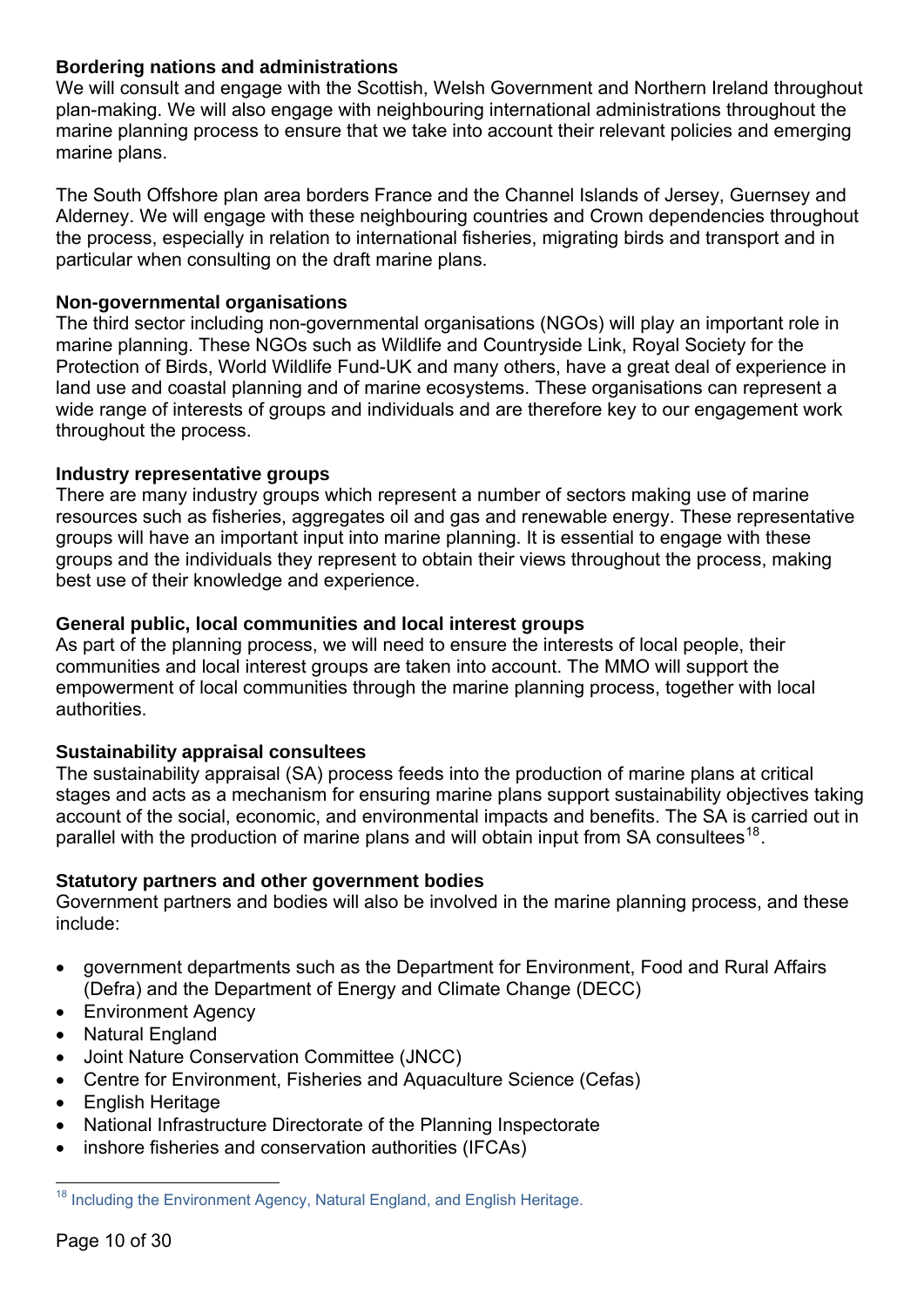#### **Bordering nations and administrations**

We will consult and engage with the Scottish, Welsh Government and Northern Ireland throughout plan-making. We will also engage with neighbouring international administrations throughout the marine planning process to ensure that we take into account their relevant policies and emerging marine plans.

The South Offshore plan area borders France and the Channel Islands of Jersey, Guernsey and Alderney. We will engage with these neighbouring countries and Crown dependencies throughout the process, especially in relation to international fisheries, migrating birds and transport and in particular when consulting on the draft marine plans.

#### **Non-governmental organisations**

The third sector including non-governmental organisations (NGOs) will play an important role in marine planning. These NGOs such as Wildlife and Countryside Link, Royal Society for the Protection of Birds, World Wildlife Fund-UK and many others, have a great deal of experience in land use and coastal planning and of marine ecosystems. These organisations can represent a wide range of interests of groups and individuals and are therefore key to our engagement work throughout the process.

#### **Industry representative groups**

There are many industry groups which represent a number of sectors making use of marine resources such as fisheries, aggregates oil and gas and renewable energy. These representative groups will have an important input into marine planning. It is essential to engage with these groups and the individuals they represent to obtain their views throughout the process, making best use of their knowledge and experience.

#### **General public, local communities and local interest groups**

As part of the planning process, we will need to ensure the interests of local people, their communities and local interest groups are taken into account. The MMO will support the empowerment of local communities through the marine planning process, together with local authorities.

#### **Sustainability appraisal consultees**

The sustainability appraisal (SA) process feeds into the production of marine plans at critical stages and acts as a mechanism for ensuring marine plans support sustainability objectives taking account of the social, economic, and environmental impacts and benefits. The SA is carried out in parallel with the production of marine plans and will obtain input from SA consultees<sup>[18](#page-11-0)</sup>.

#### **Statutory partners and other government bodies**

Government partners and bodies will also be involved in the marine planning process, and these include:

- government departments such as the Department for Environment, Food and Rural Affairs (Defra) and the Department of Energy and Climate Change (DECC)
- Environment Agency
- **Natural England**
- Joint Nature Conservation Committee (JNCC)
- Centre for Environment, Fisheries and Aquaculture Science (Cefas)
- English Heritage
- National Infrastructure Directorate of the Planning Inspectorate
- inshore fisheries and conservation authorities (IFCAs)

<span id="page-11-0"></span><sup>1</sup>  $18$  Including the Environment Agency, Natural England, and English Heritage.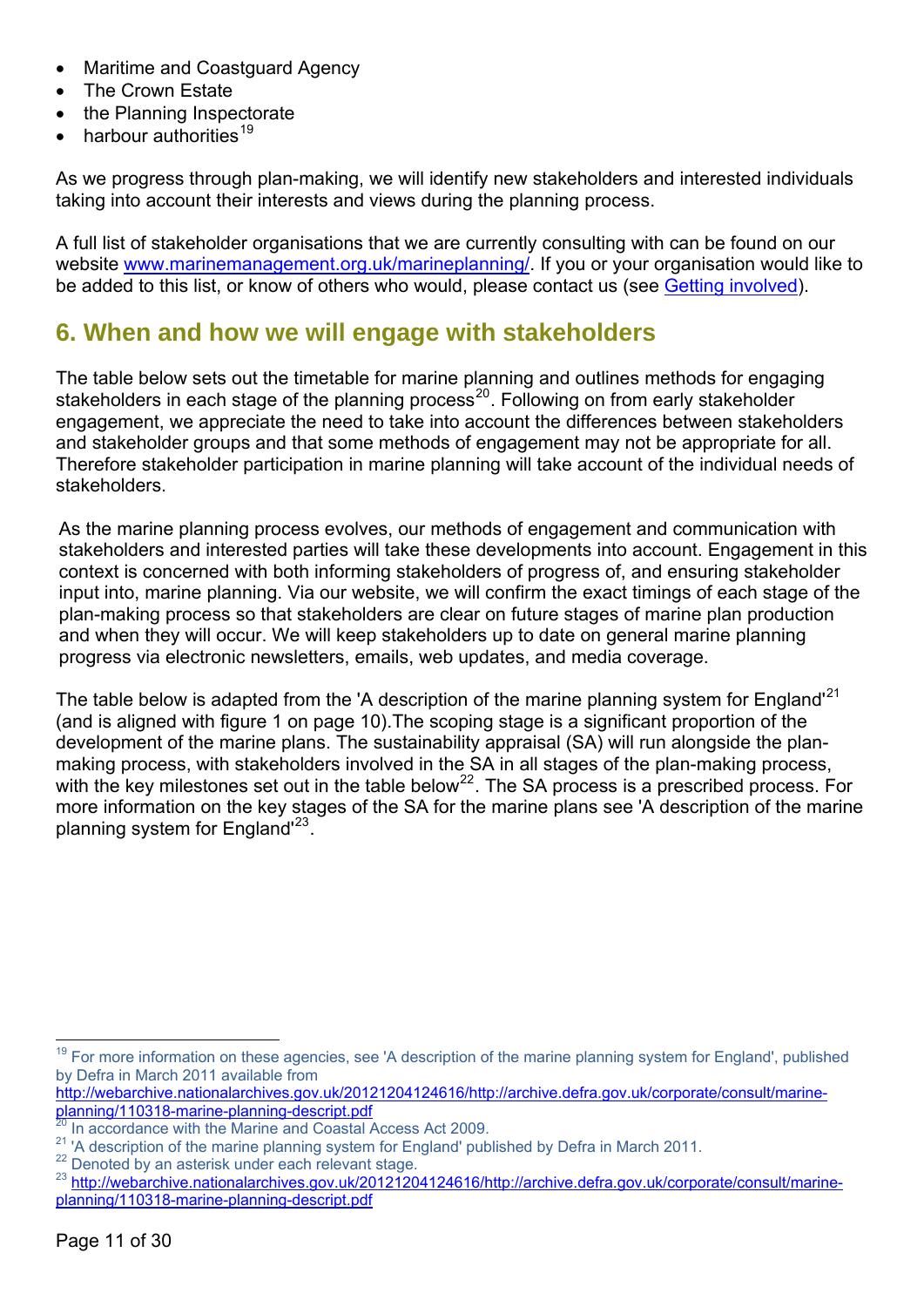- <span id="page-12-0"></span>• Maritime and Coastguard Agency
- The Crown Estate
- the Planning Inspectorate
- harbour authorities<sup>[19](#page-12-1)</sup>

As we progress through plan-making, we will identify new stakeholders and interested individuals taking into account their interests and views during the planning process.

A full list of stakeholder organisations that we are currently consulting with can be found on our website [www.marinemanagement.org.uk/marineplanning/](http://www.marinemanagement.org.uk/marineplanning/). If you or your organisation would like to be added to this list, or know of others who would, please contact us (see [Getting involved](#page-3-0)).

# **6. When and how we will engage with stakeholders**

The table below sets out the timetable for marine planning and outlines methods for engaging stakeholders in each stage of the planning process<sup>[20](#page-12-2)</sup>. Following on from early stakeholder engagement, we appreciate the need to take into account the differences between stakeholders and stakeholder groups and that some methods of engagement may not be appropriate for all. Therefore stakeholder participation in marine planning will take account of the individual needs of stakeholders.

As the marine planning process evolves, our methods of engagement and communication with stakeholders and interested parties will take these developments into account. Engagement in this context is concerned with both informing stakeholders of progress of, and ensuring stakeholder input into, marine planning. Via our website, we will confirm the exact timings of each stage of the plan-making process so that stakeholders are clear on future stages of marine plan production and when they will occur. We will keep stakeholders up to date on general marine planning progress via electronic newsletters, emails, web updates, and media coverage.

The table below is adapted from the 'A description of the marine planning system for England<sup>'[21](#page-12-3)</sup> (and is aligned with figure 1 on page 10).The scoping stage is a significant proportion of the development of the marine plans. The sustainability appraisal (SA) will run alongside the planmaking process, with stakeholders involved in the SA in all stages of the plan-making process, with the key milestones set out in the table below<sup>[22](#page-12-4)</sup>. The SA process is a prescribed process. For more information on the key stages of the SA for the marine plans see 'A description of the marine planning system for England'[23](#page-12-5).

<span id="page-12-1"></span><sup>1</sup> <sup>19</sup> For more information on these agencies, see 'A description of the marine planning system for England', published by Defra in March 2011 available from

[http://webarchive.nationalarchives.gov.uk/20121204124616/http://archive.defra.gov.uk/corporate/consult/marine](http://webarchive.nationalarchives.gov.uk/20121204124616/http://archive.defra.gov.uk/corporate/consult/marine-planning/110318-marine-planning-descript.pdf)[planning/110318-marine-planning-descript.pdf](http://webarchive.nationalarchives.gov.uk/20121204124616/http://archive.defra.gov.uk/corporate/consult/marine-planning/110318-marine-planning-descript.pdf)

<span id="page-12-2"></span> $\frac{20}{21}$  In accordance with the Marine and Coastal Access Act 2009.<br><sup>21</sup> 'A description of the marine planning system for England' published by Defra in March 2011.

<span id="page-12-5"></span><span id="page-12-4"></span><span id="page-12-3"></span><sup>&</sup>lt;sup>22</sup> Denoted by an asterisk under each relevant stage.<br><sup>23</sup> [http://webarchive.nationalarchives.gov.uk/20121204124616/http://archive.defra.gov.uk/corporate/consult/marine](http://webarchive.nationalarchives.gov.uk/20121204124616/http://archive.defra.gov.uk/corporate/consult/marine-planning/110318-marine-planning-descript.pdf)[planning/110318-marine-planning-descript.pdf](http://webarchive.nationalarchives.gov.uk/20121204124616/http://archive.defra.gov.uk/corporate/consult/marine-planning/110318-marine-planning-descript.pdf)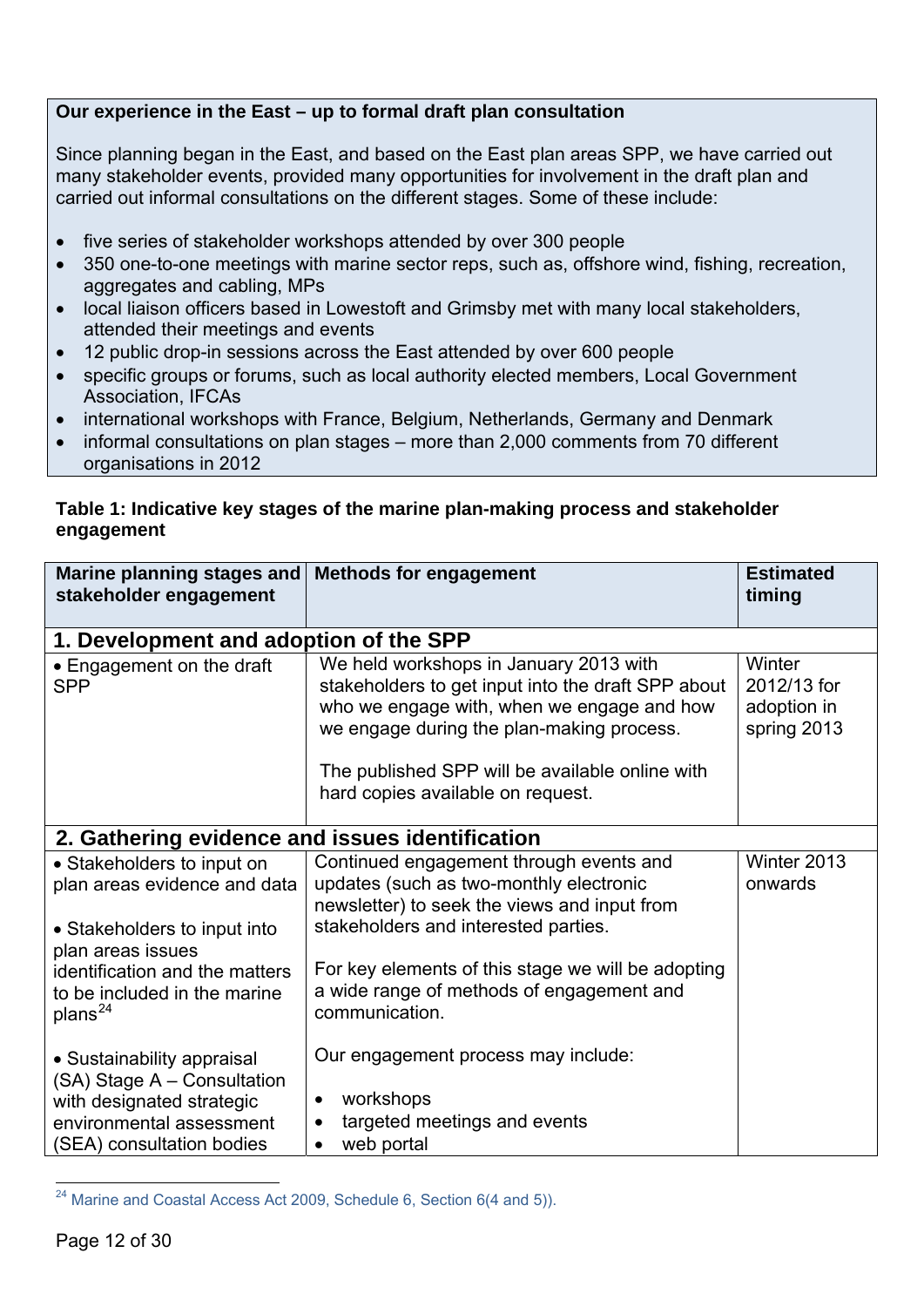#### **Our experience in the East – up to formal draft plan consultation**

Since planning began in the East, and based on the East plan areas SPP, we have carried out many stakeholder events, provided many opportunities for involvement in the draft plan and carried out informal consultations on the different stages. Some of these include:

- five series of stakeholder workshops attended by over 300 people
- 350 one-to-one meetings with marine sector reps, such as, offshore wind, fishing, recreation, aggregates and cabling, MPs
- local liaison officers based in Lowestoft and Grimsby met with many local stakeholders, attended their meetings and events
- 12 public drop-in sessions across the East attended by over 600 people
- specific groups or forums, such as local authority elected members, Local Government Association, IFCAs
- international workshops with France, Belgium, Netherlands, Germany and Denmark
- informal consultations on plan stages more than 2,000 comments from 70 different organisations in 2012

#### **Table 1: Indicative key stages of the marine plan-making process and stakeholder engagement**

| Marine planning stages and<br>stakeholder engagement                                                                                            | <b>Methods for engagement</b>                                                                                                                                                                                                                                                   | <b>Estimated</b><br>timing                          |  |  |
|-------------------------------------------------------------------------------------------------------------------------------------------------|---------------------------------------------------------------------------------------------------------------------------------------------------------------------------------------------------------------------------------------------------------------------------------|-----------------------------------------------------|--|--|
|                                                                                                                                                 | 1. Development and adoption of the SPP                                                                                                                                                                                                                                          |                                                     |  |  |
| • Engagement on the draft<br><b>SPP</b>                                                                                                         | We held workshops in January 2013 with<br>stakeholders to get input into the draft SPP about<br>who we engage with, when we engage and how<br>we engage during the plan-making process.<br>The published SPP will be available online with<br>hard copies available on request. | Winter<br>2012/13 for<br>adoption in<br>spring 2013 |  |  |
| 2. Gathering evidence and issues identification                                                                                                 |                                                                                                                                                                                                                                                                                 |                                                     |  |  |
| • Stakeholders to input on<br>plan areas evidence and data<br>• Stakeholders to input into<br>plan areas issues                                 | Continued engagement through events and<br>updates (such as two-monthly electronic<br>newsletter) to seek the views and input from<br>stakeholders and interested parties.                                                                                                      | Winter 2013<br>onwards                              |  |  |
| identification and the matters<br>to be included in the marine<br>plans <sup>24</sup>                                                           | For key elements of this stage we will be adopting<br>a wide range of methods of engagement and<br>communication.                                                                                                                                                               |                                                     |  |  |
| • Sustainability appraisal<br>(SA) Stage A - Consultation<br>with designated strategic<br>environmental assessment<br>(SEA) consultation bodies | Our engagement process may include:<br>workshops<br>$\bullet$<br>targeted meetings and events<br>$\bullet$<br>web portal<br>$\bullet$                                                                                                                                           |                                                     |  |  |

<span id="page-13-0"></span><sup>24</sup> Marine and Coastal Access Act 2009, Schedule 6, Section 6(4 and 5)).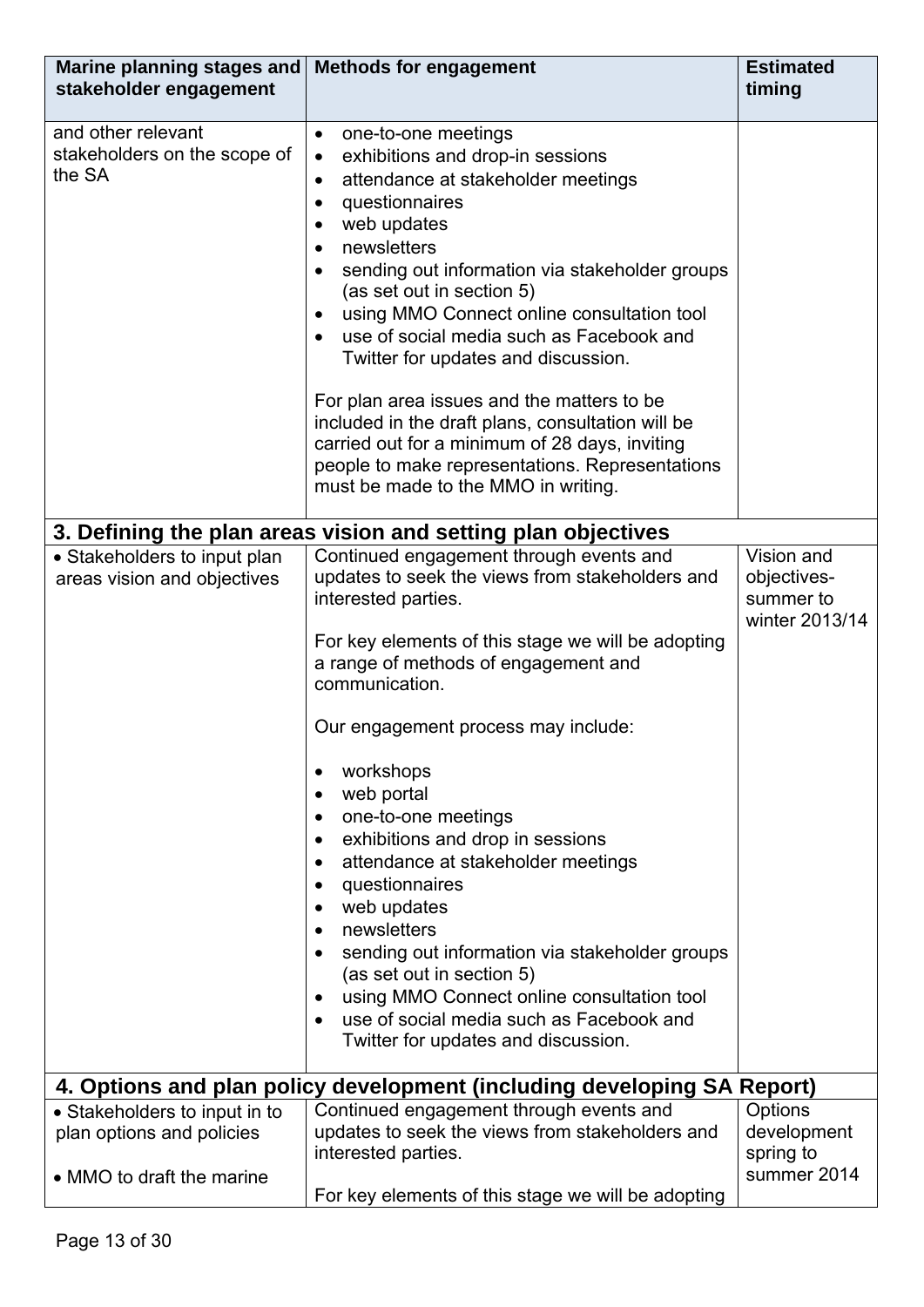| Marine planning stages and<br>stakeholder engagement                                    | <b>Methods for engagement</b>                                                                                                                                                                                                                                                                                                                                                                                                                                                                                                                                                                                                                                                                  | <b>Estimated</b><br>timing                               |  |  |
|-----------------------------------------------------------------------------------------|------------------------------------------------------------------------------------------------------------------------------------------------------------------------------------------------------------------------------------------------------------------------------------------------------------------------------------------------------------------------------------------------------------------------------------------------------------------------------------------------------------------------------------------------------------------------------------------------------------------------------------------------------------------------------------------------|----------------------------------------------------------|--|--|
| and other relevant<br>stakeholders on the scope of<br>the SA                            | one-to-one meetings<br>$\bullet$<br>exhibitions and drop-in sessions<br>$\bullet$<br>attendance at stakeholder meetings<br>٠<br>questionnaires<br>$\bullet$<br>web updates<br>newsletters<br>sending out information via stakeholder groups<br>(as set out in section 5)<br>using MMO Connect online consultation tool<br>use of social media such as Facebook and<br>Twitter for updates and discussion.<br>For plan area issues and the matters to be<br>included in the draft plans, consultation will be<br>carried out for a minimum of 28 days, inviting<br>people to make representations. Representations<br>must be made to the MMO in writing.                                       |                                                          |  |  |
|                                                                                         | 3. Defining the plan areas vision and setting plan objectives                                                                                                                                                                                                                                                                                                                                                                                                                                                                                                                                                                                                                                  |                                                          |  |  |
| • Stakeholders to input plan<br>areas vision and objectives                             | Continued engagement through events and<br>updates to seek the views from stakeholders and<br>interested parties.<br>For key elements of this stage we will be adopting<br>a range of methods of engagement and<br>communication.<br>Our engagement process may include:<br>workshops<br>web portal<br>one-to-one meetings<br>exhibitions and drop in sessions<br>$\bullet$<br>attendance at stakeholder meetings<br>questionnaires<br>$\bullet$<br>web updates<br>newsletters<br>sending out information via stakeholder groups<br>(as set out in section 5)<br>using MMO Connect online consultation tool<br>use of social media such as Facebook and<br>Twitter for updates and discussion. | Vision and<br>objectives-<br>summer to<br>winter 2013/14 |  |  |
| 4. Options and plan policy development (including developing SA Report)                 |                                                                                                                                                                                                                                                                                                                                                                                                                                                                                                                                                                                                                                                                                                |                                                          |  |  |
| • Stakeholders to input in to<br>plan options and policies<br>• MMO to draft the marine | Continued engagement through events and<br>updates to seek the views from stakeholders and<br>interested parties.<br>For key elements of this stage we will be adopting                                                                                                                                                                                                                                                                                                                                                                                                                                                                                                                        | Options<br>development<br>spring to<br>summer 2014       |  |  |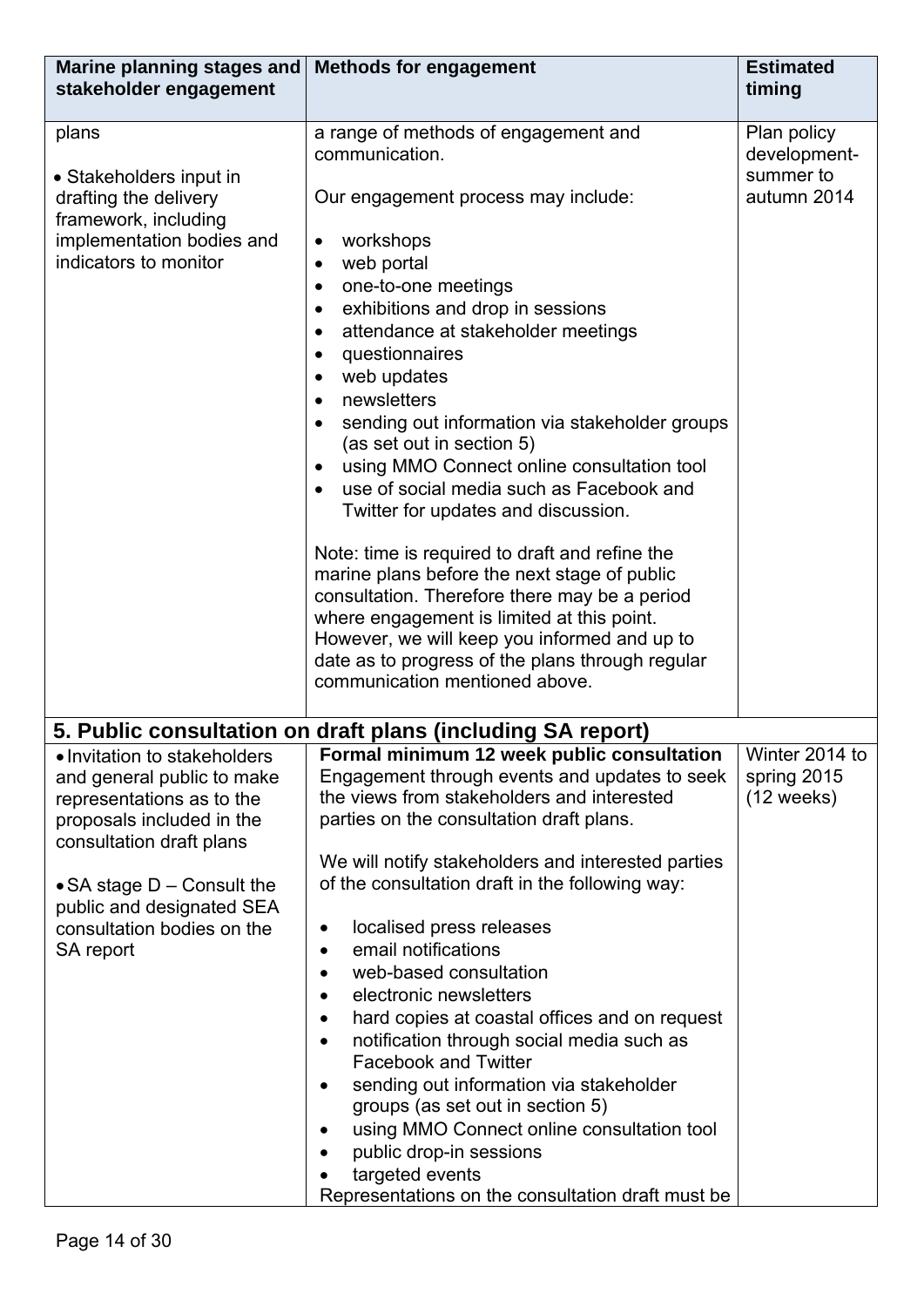| Marine planning stages and<br>stakeholder engagement                                                                                                                                                                                                     | <b>Methods for engagement</b>                                                                                                                                                                                                                                                                                                                                                                                                                                                                                                                                                                                                                                                                                                                                                                                                                                                                                                     | <b>Estimated</b><br>timing                              |
|----------------------------------------------------------------------------------------------------------------------------------------------------------------------------------------------------------------------------------------------------------|-----------------------------------------------------------------------------------------------------------------------------------------------------------------------------------------------------------------------------------------------------------------------------------------------------------------------------------------------------------------------------------------------------------------------------------------------------------------------------------------------------------------------------------------------------------------------------------------------------------------------------------------------------------------------------------------------------------------------------------------------------------------------------------------------------------------------------------------------------------------------------------------------------------------------------------|---------------------------------------------------------|
| plans<br>• Stakeholders input in<br>drafting the delivery<br>framework, including<br>implementation bodies and<br>indicators to monitor                                                                                                                  | a range of methods of engagement and<br>communication.<br>Our engagement process may include:<br>workshops<br>$\bullet$<br>web portal<br>$\bullet$<br>one-to-one meetings<br>$\bullet$<br>exhibitions and drop in sessions<br>$\bullet$<br>attendance at stakeholder meetings<br>questionnaires<br>$\bullet$<br>web updates<br>newsletters<br>sending out information via stakeholder groups<br>(as set out in section 5)<br>using MMO Connect online consultation tool<br>use of social media such as Facebook and<br>Twitter for updates and discussion.<br>Note: time is required to draft and refine the<br>marine plans before the next stage of public<br>consultation. Therefore there may be a period<br>where engagement is limited at this point.<br>However, we will keep you informed and up to<br>date as to progress of the plans through regular<br>communication mentioned above.                                 | Plan policy<br>development-<br>summer to<br>autumn 2014 |
|                                                                                                                                                                                                                                                          |                                                                                                                                                                                                                                                                                                                                                                                                                                                                                                                                                                                                                                                                                                                                                                                                                                                                                                                                   |                                                         |
| • Invitation to stakeholders<br>and general public to make<br>representations as to the<br>proposals included in the<br>consultation draft plans<br>• SA stage $D$ – Consult the<br>public and designated SEA<br>consultation bodies on the<br>SA report | 5. Public consultation on draft plans (including SA report)<br>Formal minimum 12 week public consultation<br>Engagement through events and updates to seek<br>the views from stakeholders and interested<br>parties on the consultation draft plans.<br>We will notify stakeholders and interested parties<br>of the consultation draft in the following way:<br>localised press releases<br>٠<br>email notifications<br>$\bullet$<br>web-based consultation<br>$\bullet$<br>electronic newsletters<br>$\bullet$<br>hard copies at coastal offices and on request<br>$\bullet$<br>notification through social media such as<br>$\bullet$<br><b>Facebook and Twitter</b><br>sending out information via stakeholder<br>$\bullet$<br>groups (as set out in section 5)<br>using MMO Connect online consultation tool<br>$\bullet$<br>public drop-in sessions<br>targeted events<br>Representations on the consultation draft must be | Winter 2014 to<br>spring 2015<br>$(12 \text{ weeks})$   |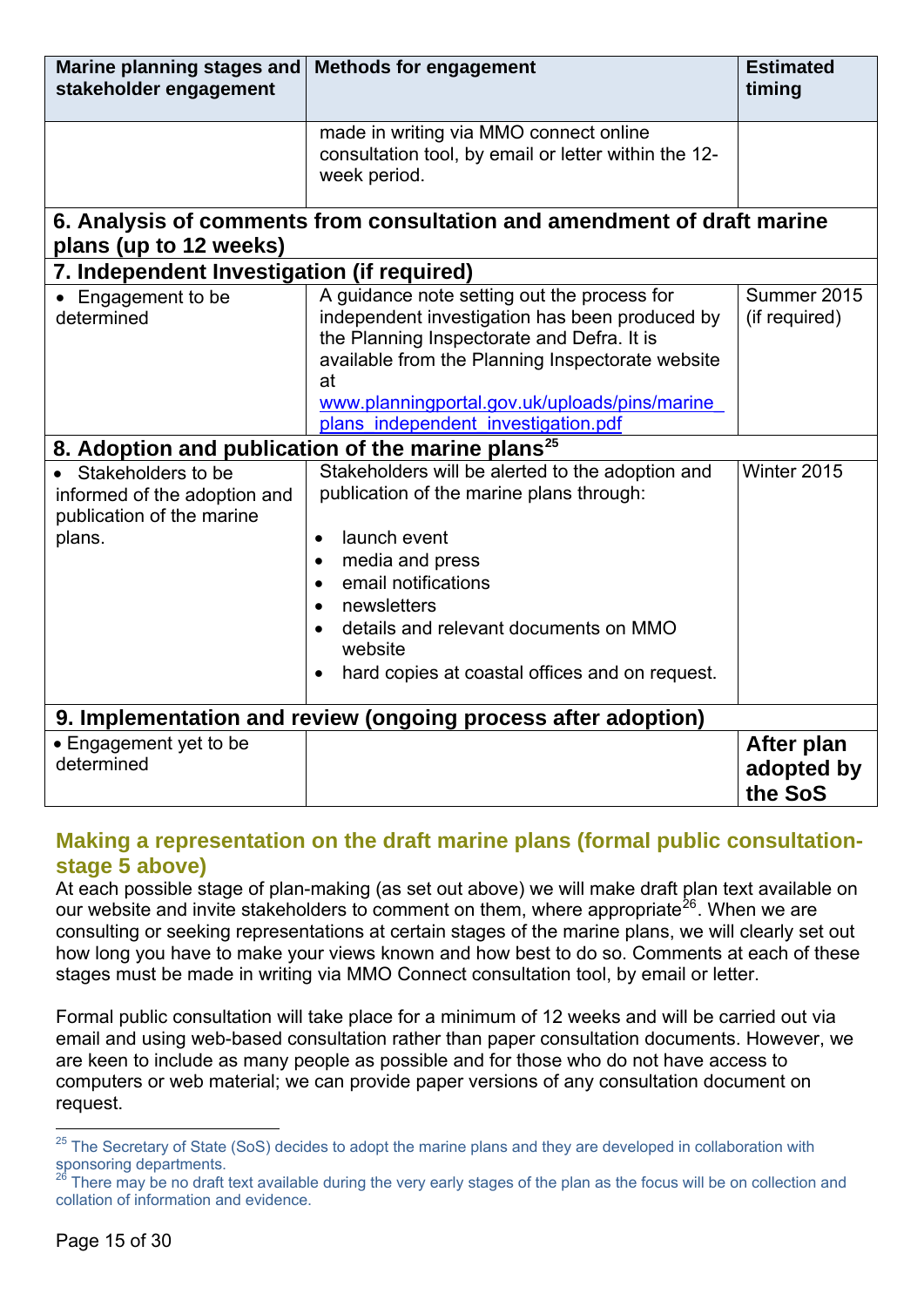<span id="page-16-0"></span>

| Marine planning stages and<br>stakeholder engagement                                              | <b>Methods for engagement</b>                                                                                                                                                                                                                                                                                      | <b>Estimated</b><br>timing          |  |  |
|---------------------------------------------------------------------------------------------------|--------------------------------------------------------------------------------------------------------------------------------------------------------------------------------------------------------------------------------------------------------------------------------------------------------------------|-------------------------------------|--|--|
|                                                                                                   | made in writing via MMO connect online<br>consultation tool, by email or letter within the 12-<br>week period.                                                                                                                                                                                                     |                                     |  |  |
| 6. Analysis of comments from consultation and amendment of draft marine<br>plans (up to 12 weeks) |                                                                                                                                                                                                                                                                                                                    |                                     |  |  |
| 7. Independent Investigation (if required)                                                        |                                                                                                                                                                                                                                                                                                                    |                                     |  |  |
| Engagement to be<br>determined                                                                    | A guidance note setting out the process for<br>independent investigation has been produced by<br>the Planning Inspectorate and Defra. It is<br>available from the Planning Inspectorate website<br>at<br>www.planningportal.gov.uk/uploads/pins/marine<br>plans independent investigation.pdf                      | Summer 2015<br>(if required)        |  |  |
|                                                                                                   | 8. Adoption and publication of the marine plans <sup>25</sup>                                                                                                                                                                                                                                                      |                                     |  |  |
| Stakeholders to be<br>informed of the adoption and<br>publication of the marine<br>plans.         | Stakeholders will be alerted to the adoption and<br>publication of the marine plans through:<br>launch event<br>$\bullet$<br>media and press<br>$\bullet$<br>email notifications<br>newsletters<br>details and relevant documents on MMO<br>website<br>hard copies at coastal offices and on request.<br>$\bullet$ | Winter 2015                         |  |  |
| 9. Implementation and review (ongoing process after adoption)                                     |                                                                                                                                                                                                                                                                                                                    |                                     |  |  |
| • Engagement yet to be<br>determined                                                              |                                                                                                                                                                                                                                                                                                                    | After plan<br>adopted by<br>the SoS |  |  |

## **Making a representation on the draft marine plans (formal public consultationstage 5 above)**

At each possible stage of plan-making (as set out above) we will make draft plan text available on our website and invite stakeholders to comment on them, where appropriate<sup>[26](#page-16-2)</sup>. When we are consulting or seeking representations at certain stages of the marine plans, we will clearly set out how long you have to make your views known and how best to do so. Comments at each of these stages must be made in writing via MMO Connect consultation tool, by email or letter.

Formal public consultation will take place for a minimum of 12 weeks and will be carried out via email and using web-based consultation rather than paper consultation documents. However, we are keen to include as many people as possible and for those who do not have access to computers or web material; we can provide paper versions of any consultation document on request.

1

<span id="page-16-1"></span><sup>&</sup>lt;sup>25</sup> The Secretary of State (SoS) decides to adopt the marine plans and they are developed in collaboration with sponsoring departments.

<span id="page-16-2"></span>There may be no draft text available during the very early stages of the plan as the focus will be on collection and collation of information and evidence.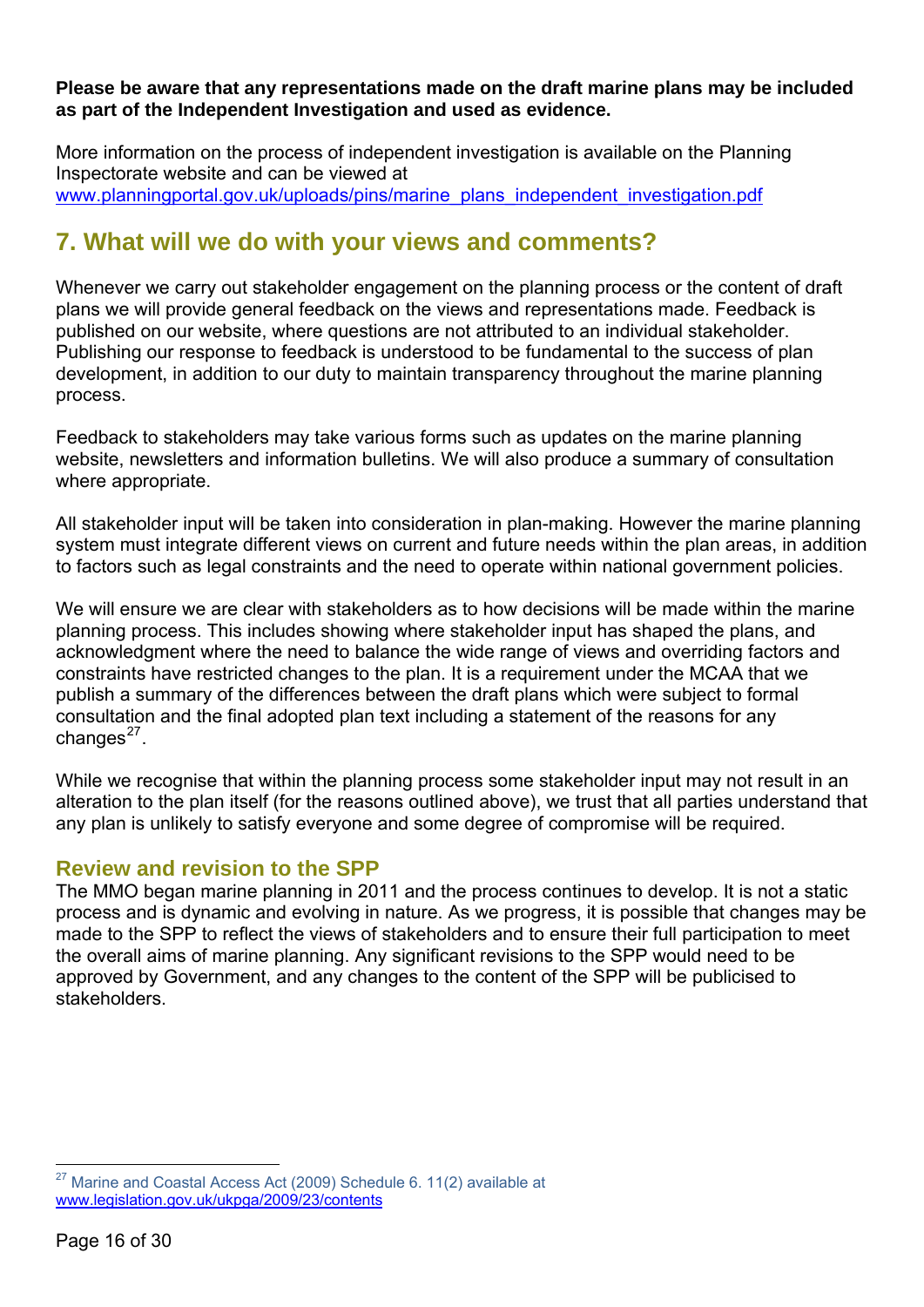#### <span id="page-17-0"></span>**Please be aware that any representations made on the draft marine plans may be included as part of the Independent Investigation and used as evidence.**

More information on the process of independent investigation is available on the Planning Inspectorate website and can be viewed at www.planningportal.gov.uk/uploads/pins/marine\_plans\_independent\_investigation.pdf

# **7. What will we do with your views and comments?**

Whenever we carry out stakeholder engagement on the planning process or the content of draft plans we will provide general feedback on the views and representations made. Feedback is published on our website, where questions are not attributed to an individual stakeholder. Publishing our response to feedback is understood to be fundamental to the success of plan development, in addition to our duty to maintain transparency throughout the marine planning process.

Feedback to stakeholders may take various forms such as updates on the marine planning website, newsletters and information bulletins. We will also produce a summary of consultation where appropriate.

All stakeholder input will be taken into consideration in plan-making. However the marine planning system must integrate different views on current and future needs within the plan areas, in addition to factors such as legal constraints and the need to operate within national government policies.

We will ensure we are clear with stakeholders as to how decisions will be made within the marine planning process. This includes showing where stakeholder input has shaped the plans, and acknowledgment where the need to balance the wide range of views and overriding factors and constraints have restricted changes to the plan. It is a requirement under the MCAA that we publish a summary of the differences between the draft plans which were subject to formal consultation and the final adopted plan text including a statement of the reasons for any changes $^{27}$  $^{27}$  $^{27}$ .

While we recognise that within the planning process some stakeholder input may not result in an alteration to the plan itself (for the reasons outlined above), we trust that all parties understand that any plan is unlikely to satisfy everyone and some degree of compromise will be required.

## **Review and revision to the SPP**

The MMO began marine planning in 2011 and the process continues to develop. It is not a static process and is dynamic and evolving in nature. As we progress, it is possible that changes may be made to the SPP to reflect the views of stakeholders and to ensure their full participation to meet the overall aims of marine planning. Any significant revisions to the SPP would need to be approved by Government, and any changes to the content of the SPP will be publicised to stakeholders.

1

<span id="page-17-1"></span> $27$  Marine and Coastal Access Act (2009) Schedule 6, 11(2) available at www.legislation.gov.uk/ukpga/2009/23/contents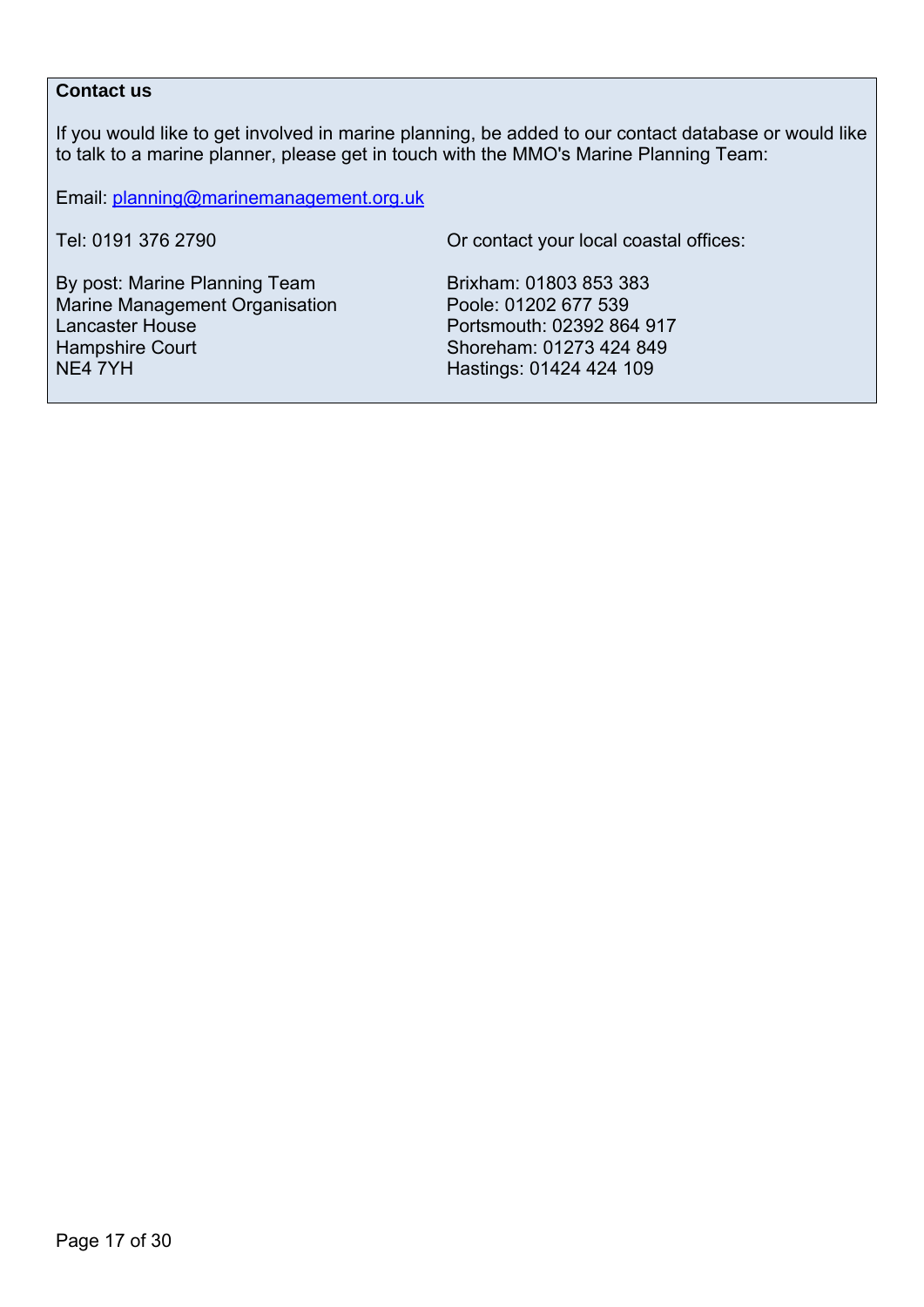#### **Contact us**

If you would like to get involved in marine planning, be added to our contact database or would like to talk to a marine planner, please get in touch with the MMO's Marine Planning Team:

Email: [planning@marinemanagement.org.uk](mailto:planning@marinemanagement.org.uk)

Tel: 0191 376 2790 Or contact your local coastal offices:

By post: Marine Planning Team Brixham: 01803 853 383 Marine Management Organisation Poole: 01202 677 539 Lancaster House **Portsmouth: 02392 864 917** Hampshire Court Shoreham: 01273 424 849<br>NE4 7YH

Hastings: 01424 424 109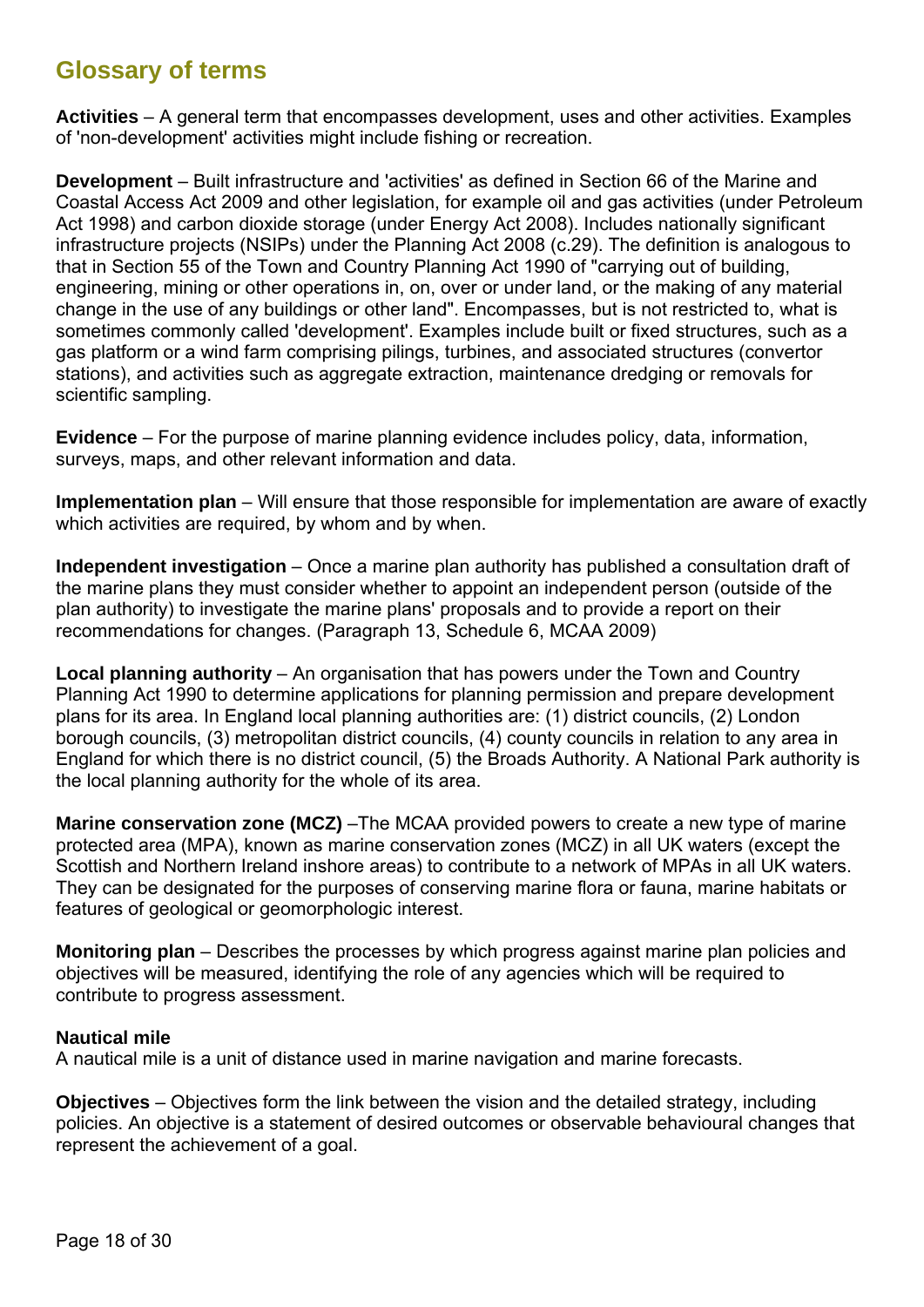# <span id="page-19-0"></span>**Glossary of terms**

**Activities** – A general term that encompasses development, uses and other activities. Examples of 'non-development' activities might include fishing or recreation.

**Development** – Built infrastructure and 'activities' as defined in Section 66 of the Marine and Coastal Access Act 2009 and other legislation, for example oil and gas activities (under Petroleum Act 1998) and carbon dioxide storage (under Energy Act 2008). Includes nationally significant infrastructure projects (NSIPs) under the Planning Act 2008 (c.29). The definition is analogous to that in Section 55 of the Town and Country Planning Act 1990 of "carrying out of building, engineering, mining or other operations in, on, over or under land, or the making of any material change in the use of any buildings or other land". Encompasses, but is not restricted to, what is sometimes commonly called 'development'. Examples include built or fixed structures, such as a gas platform or a wind farm comprising pilings, turbines, and associated structures (convertor stations), and activities such as aggregate extraction, maintenance dredging or removals for scientific sampling.

**Evidence** – For the purpose of marine planning evidence includes policy, data, information, surveys, maps, and other relevant information and data.

**Implementation plan** – Will ensure that those responsible for implementation are aware of exactly which activities are required, by whom and by when.

**Independent investigation** – Once a marine plan authority has published a consultation draft of the marine plans they must consider whether to appoint an independent person (outside of the plan authority) to investigate the marine plans' proposals and to provide a report on their recommendations for changes. (Paragraph 13, Schedule 6, MCAA 2009)

**Local planning authority** – An organisation that has powers under the Town and Country Planning Act 1990 to determine applications for planning permission and prepare development plans for its area. In England local planning authorities are: (1) district councils, (2) London borough councils, (3) metropolitan district councils, (4) county councils in relation to any area in England for which there is no district council, (5) the Broads Authority. A National Park authority is the local planning authority for the whole of its area.

**Marine conservation zone (MCZ)** – The MCAA provided powers to create a new type of marine protected area (MPA), known as marine conservation zones (MCZ) in all UK waters (except the Scottish and Northern Ireland inshore areas) to contribute to a network of MPAs in all UK waters. They can be designated for the purposes of conserving marine flora or fauna, marine habitats or features of geological or geomorphologic interest.

**Monitoring plan** – Describes the processes by which progress against marine plan policies and objectives will be measured, identifying the role of any agencies which will be required to contribute to progress assessment.

#### **Nautical mile**

A nautical mile is a unit of distance used in marine navigation and marine forecasts.

**Objectives** – Objectives form the link between the vision and the detailed strategy, including policies. An objective is a statement of desired outcomes or observable behavioural changes that represent the achievement of a goal.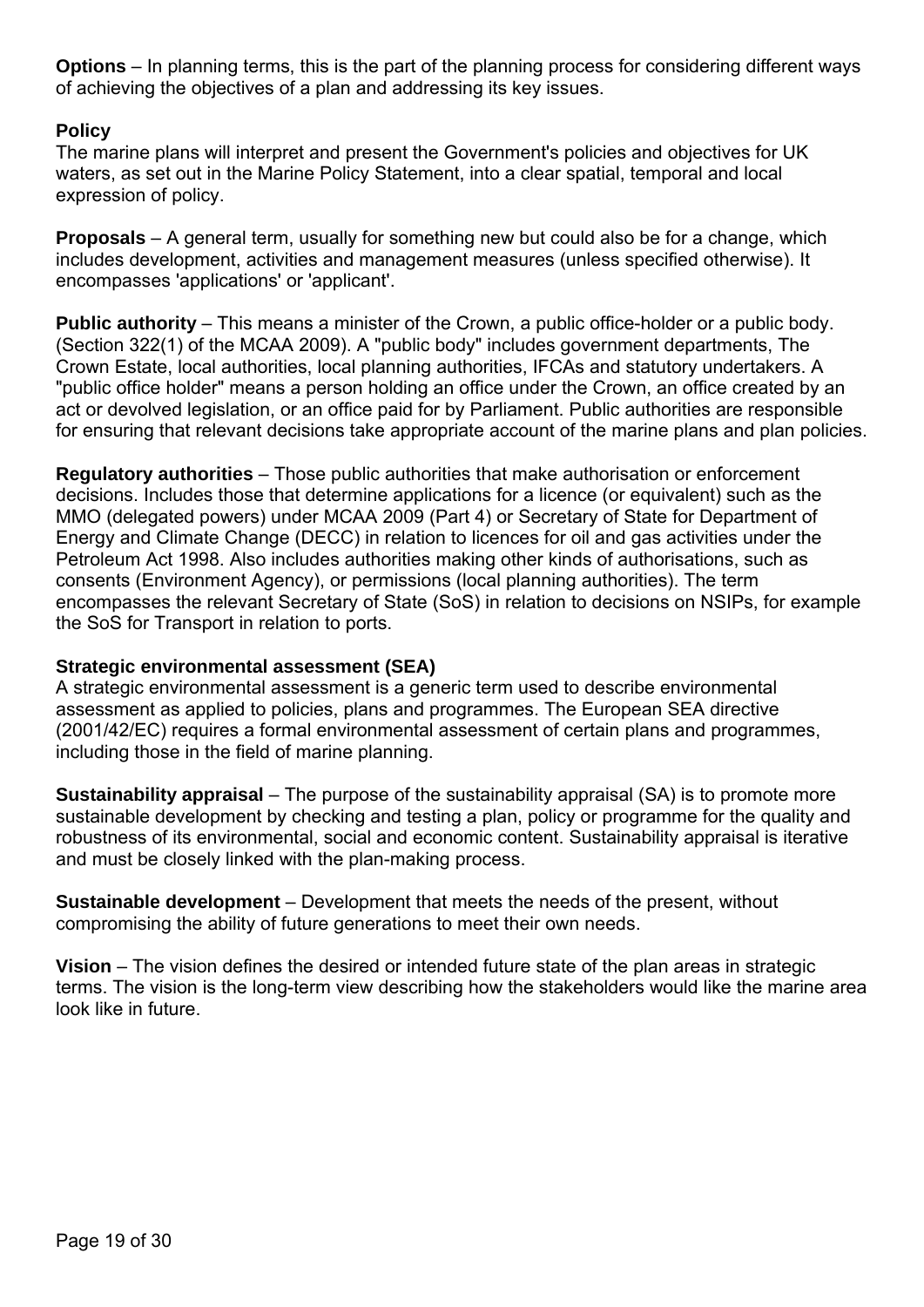**Options** – In planning terms, this is the part of the planning process for considering different ways of achieving the objectives of a plan and addressing its key issues.

#### **Policy**

The marine plans will interpret and present the Government's policies and objectives for UK waters, as set out in the Marine Policy Statement, into a clear spatial, temporal and local expression of policy.

**Proposals** – A general term, usually for something new but could also be for a change, which includes development, activities and management measures (unless specified otherwise). It encompasses 'applications' or 'applicant'.

**Public authority** – This means a minister of the Crown, a public office-holder or a public body. (Section 322(1) of the MCAA 2009). A "public body" includes government departments, The Crown Estate, local authorities, local planning authorities, IFCAs and statutory undertakers. A "public office holder" means a person holding an office under the Crown, an office created by an act or devolved legislation, or an office paid for by Parliament. Public authorities are responsible for ensuring that relevant decisions take appropriate account of the marine plans and plan policies.

**Regulatory authorities** – Those public authorities that make authorisation or enforcement decisions. Includes those that determine applications for a licence (or equivalent) such as the MMO (delegated powers) under MCAA 2009 (Part 4) or Secretary of State for Department of Energy and Climate Change (DECC) in relation to licences for oil and gas activities under the Petroleum Act 1998. Also includes authorities making other kinds of authorisations, such as consents (Environment Agency), or permissions (local planning authorities). The term encompasses the relevant Secretary of State (SoS) in relation to decisions on NSIPs, for example the SoS for Transport in relation to ports.

#### **Strategic environmental assessment (SEA)**

A strategic environmental assessment is a generic term used to describe environmental assessment as applied to policies, plans and programmes. The European SEA directive (2001/42/EC) requires a formal environmental assessment of certain plans and programmes, including those in the field of marine planning.

**Sustainability appraisal** – The purpose of the sustainability appraisal (SA) is to promote more sustainable development by checking and testing a plan, policy or programme for the quality and robustness of its environmental, social and economic content. Sustainability appraisal is iterative and must be closely linked with the plan-making process.

**Sustainable development** – Development that meets the needs of the present, without compromising the ability of future generations to meet their own needs.

**Vision** – The vision defines the desired or intended future state of the plan areas in strategic terms. The vision is the long-term view describing how the stakeholders would like the marine area look like in future.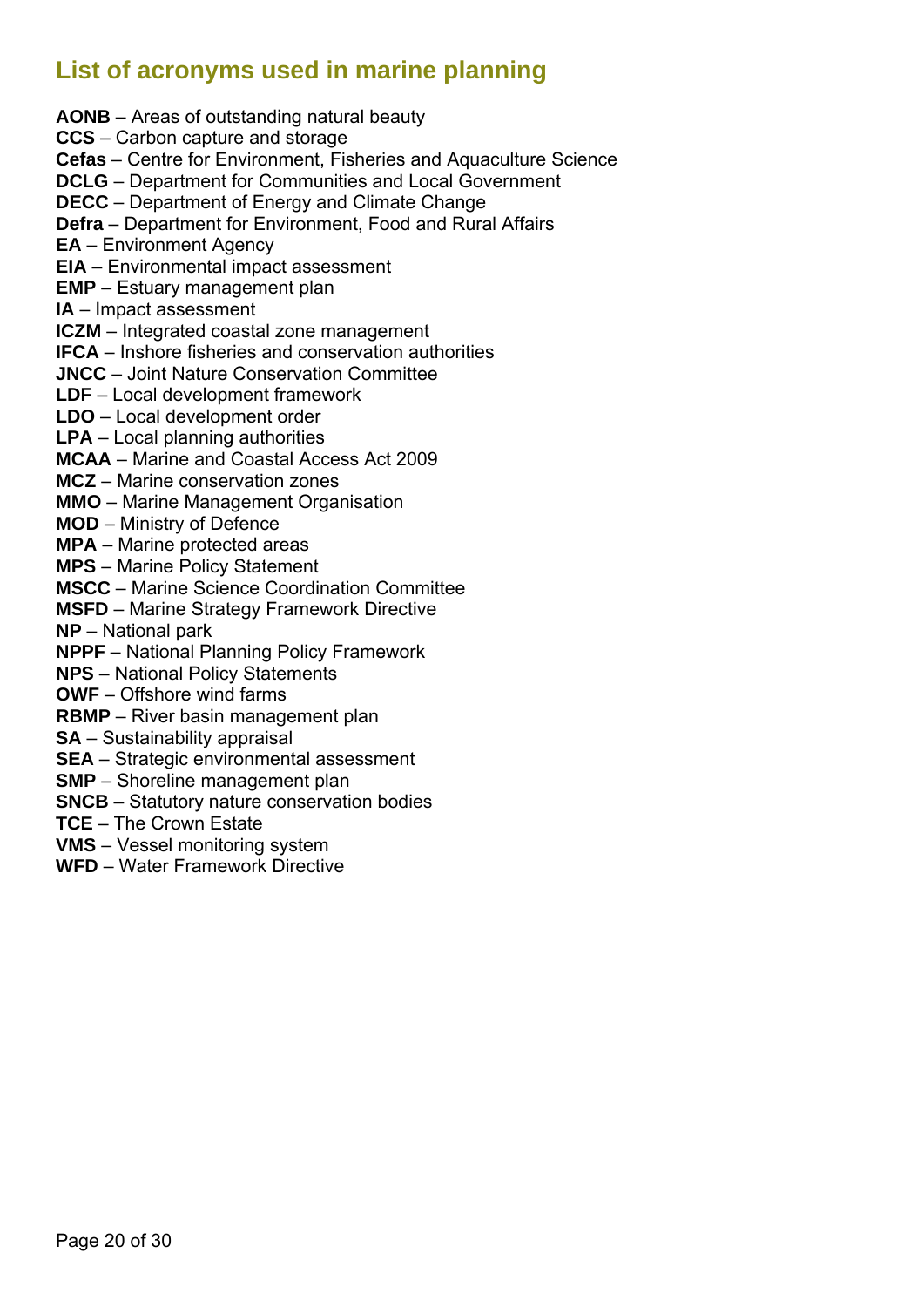# <span id="page-21-0"></span>**List of acronyms used in marine planning**

**AONB** – Areas of outstanding natural beauty **CCS** – Carbon capture and storage **Cefas** – Centre for Environment, Fisheries and Aquaculture Science **DCLG** – Department for Communities and Local Government **DECC** – Department of Energy and Climate Change **Defra** – Department for Environment, Food and Rural Affairs **EA** – Environment Agency **EIA** – Environmental impact assessment **EMP** – Estuary management plan **IA** – Impact assessment **ICZM** – Integrated coastal zone management **IFCA** – Inshore fisheries and conservation authorities **JNCC** – Joint Nature Conservation Committee **LDF** – Local development framework **LDO** – Local development order **LPA** – Local planning authorities **MCAA** – Marine and Coastal Access Act 2009 **MCZ** – Marine conservation zones **MMO** – Marine Management Organisation **MOD** – Ministry of Defence **MPA** – Marine protected areas **MPS** – Marine Policy Statement **MSCC** – Marine Science Coordination Committee **MSFD** – Marine Strategy Framework Directive **NP** – National park **NPPF** – National Planning Policy Framework **NPS** – National Policy Statements **OWF** – Offshore wind farms **RBMP** – River basin management plan **SA** – Sustainability appraisal **SEA** – Strategic environmental assessment **SMP** – Shoreline management plan **SNCB** – Statutory nature conservation bodies **TCE** – The Crown Estate

**VMS** – Vessel monitoring system

**WFD** – Water Framework Directive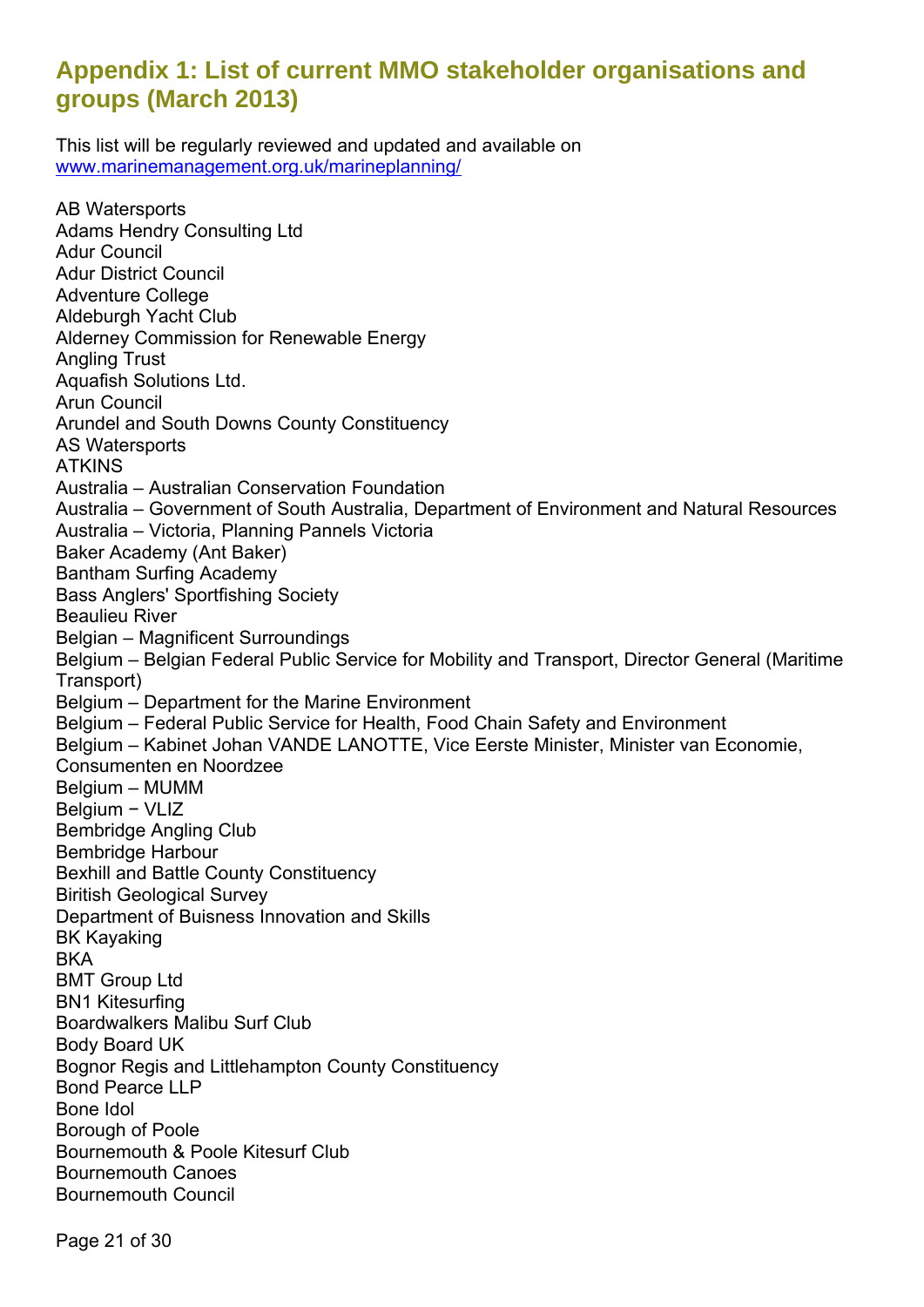# <span id="page-22-0"></span>**Appendix 1: List of current MMO stakeholder organisations and groups (March 2013)**

This list will be regularly reviewed and updated and available on [www.marinemanagement.org.uk/marineplanning/](http://www.marinemanagement.org.uk/marineplanning/)

AB Watersports Adams Hendry Consulting Ltd Adur Council Adur District Council Adventure College Aldeburgh Yacht Club Alderney Commission for Renewable Energy Angling Trust Aquafish Solutions Ltd. Arun Council Arundel and South Downs County Constituency AS Watersports ATKINS Australia – Australian Conservation Foundation Australia – Government of South Australia, Department of Environment and Natural Resources Australia – Victoria, Planning Pannels Victoria Baker Academy (Ant Baker) Bantham Surfing Academy Bass Anglers' Sportfishing Society Beaulieu River Belgian – Magnificent Surroundings Belgium – Belgian Federal Public Service for Mobility and Transport, Director General (Maritime Transport) Belgium – Department for the Marine Environment Belgium – Federal Public Service for Health, Food Chain Safety and Environment Belgium – Kabinet Johan VANDE LANOTTE, Vice Eerste Minister, Minister van Economie, Consumenten en Noordzee Belgium – MUMM Belgium − VLIZ Bembridge Angling Club Bembridge Harbour Bexhill and Battle County Constituency Biritish Geological Survey Department of Buisness Innovation and Skills BK Kayaking BKA BMT Group Ltd BN1 Kitesurfing Boardwalkers Malibu Surf Club Body Board UK Bognor Regis and Littlehampton County Constituency Bond Pearce LLP Bone Idol Borough of Poole Bournemouth & Poole Kitesurf Club Bournemouth Canoes Bournemouth Council

Page 21 of 30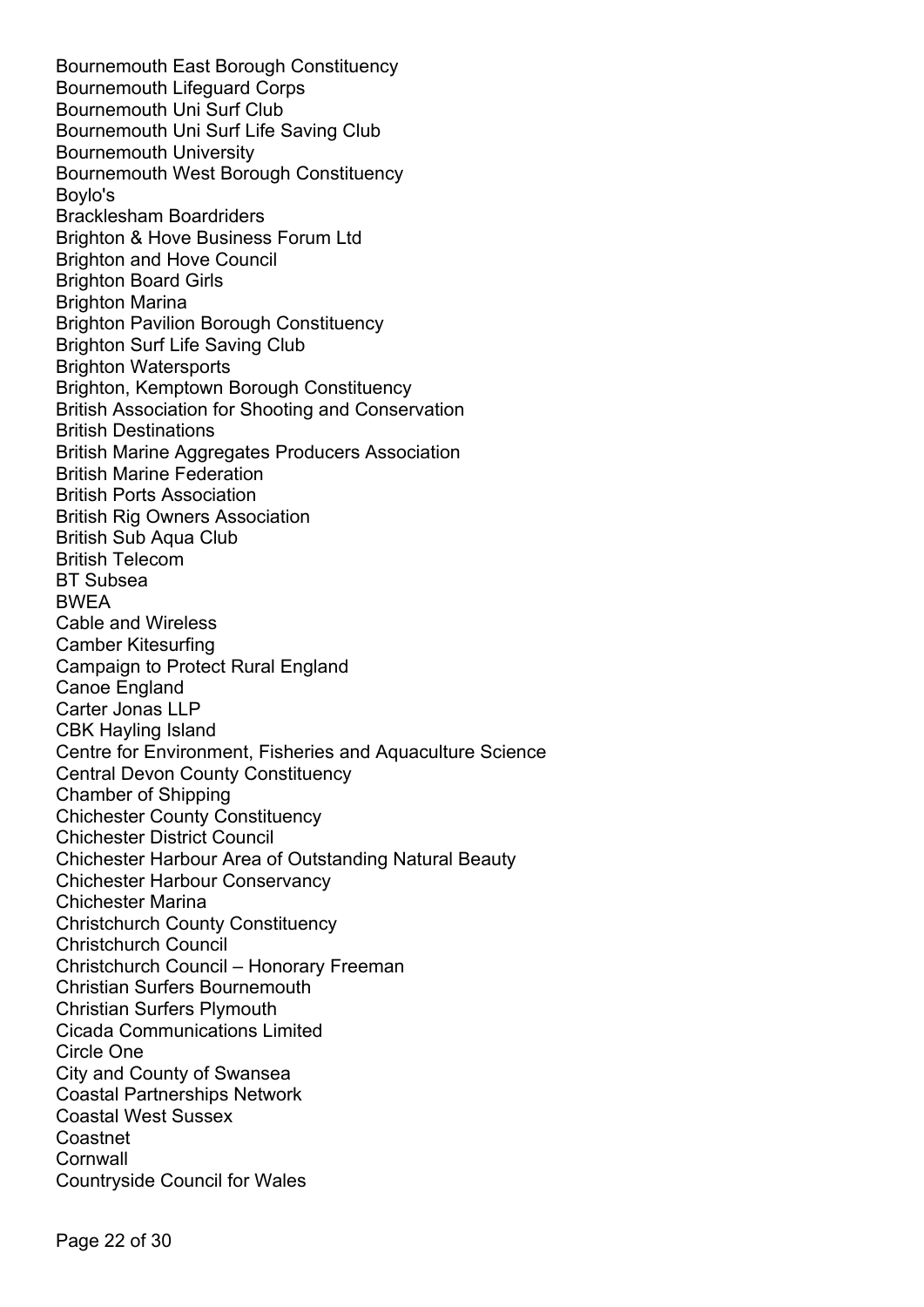Bournemouth East Borough Constituency Bournemouth Lifeguard Corps Bournemouth Uni Surf Club Bournemouth Uni Surf Life Saving Club Bournemouth University Bournemouth West Borough Constituency Boylo's Bracklesham Boardriders Brighton & Hove Business Forum Ltd Brighton and Hove Council Brighton Board Girls Brighton Marina Brighton Pavilion Borough Constituency [Brighton Surf Life Saving Club](http://brightonslsc.org/)  Brighton Watersports Brighton, Kemptown Borough Constituency British Association for Shooting and Conservation British Destinations British Marine Aggregates Producers Association British Marine Federation British Ports Association British Rig Owners Association British Sub Aqua Club British Telecom BT Subsea BWEA Cable and Wireless Camber Kitesurfing Campaign to Protect Rural England Canoe England Carter Jonas LLP CBK Hayling Island Centre for Environment, Fisheries and Aquaculture Science Central Devon County Constituency Chamber of Shipping Chichester County Constituency Chichester District Council Chichester Harbour Area of Outstanding Natural Beauty Chichester Harbour Conservancy Chichester Marina Christchurch County Constituency Christchurch Council Christchurch Council – Honorary Freeman Christian Surfers Bournemouth Christian Surfers Plymouth Cicada Communications Limited Circle One City and County of Swansea Coastal Partnerships Network Coastal West Sussex Coastnet **Cornwall** Countryside Council for Wales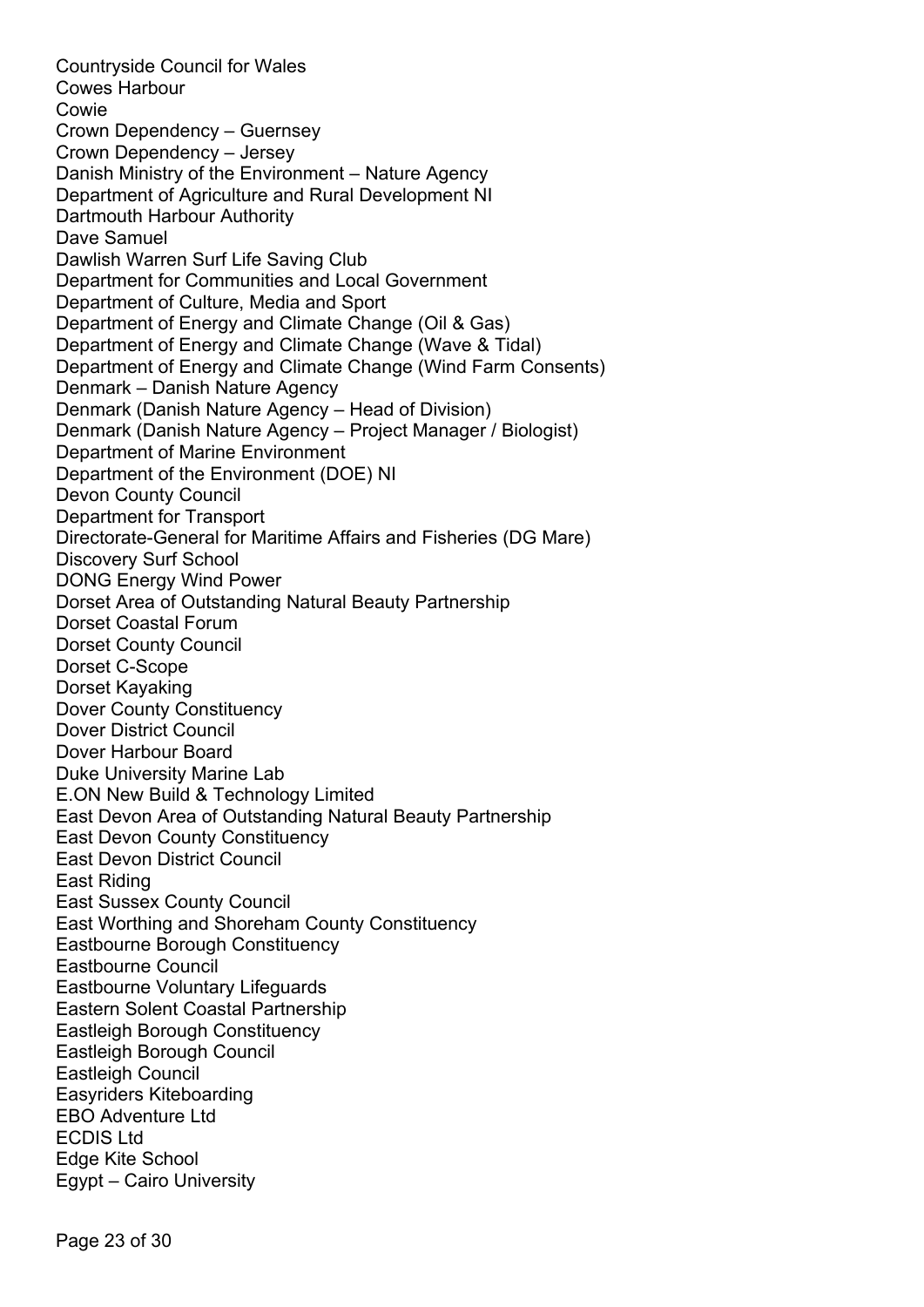Countryside Council for Wales Cowes Harbour Cowie Crown Dependency – Guernsey Crown Dependency – Jersey Danish Ministry of the Environment – Nature Agency Department of Agriculture and Rural Development NI Dartmouth Harbour Authority Dave Samuel Dawlish Warren Surf Life Saving Club Department for Communities and Local Government Department of Culture, Media and Sport Department of Energy and Climate Change (Oil & Gas) Department of Energy and Climate Change (Wave & Tidal) Department of Energy and Climate Change (Wind Farm Consents) Denmark – Danish Nature Agency Denmark (Danish Nature Agency – Head of Division) Denmark (Danish Nature Agency – Project Manager / Biologist) Department of Marine Environment Department of the Environment (DOE) NI Devon County Council Department for Transport Directorate-General for Maritime Affairs and Fisheries (DG Mare) Discovery Surf School DONG Energy Wind Power Dorset Area of Outstanding Natural Beauty Partnership Dorset Coastal Forum Dorset County Council Dorset C-Scope Dorset Kayaking Dover County Constituency Dover District Council Dover Harbour Board Duke University Marine Lab E.ON New Build & Technology Limited East Devon Area of Outstanding Natural Beauty Partnership East Devon County Constituency East Devon District Council East Riding East Sussex County Council East Worthing and Shoreham County Constituency Eastbourne Borough Constituency Eastbourne Council Eastbourne Voluntary Lifeguards Eastern Solent Coastal Partnership Eastleigh Borough Constituency Eastleigh Borough Council Eastleigh Council Easyriders Kiteboarding EBO Adventure Ltd ECDIS Ltd Edge Kite School Egypt – Cairo University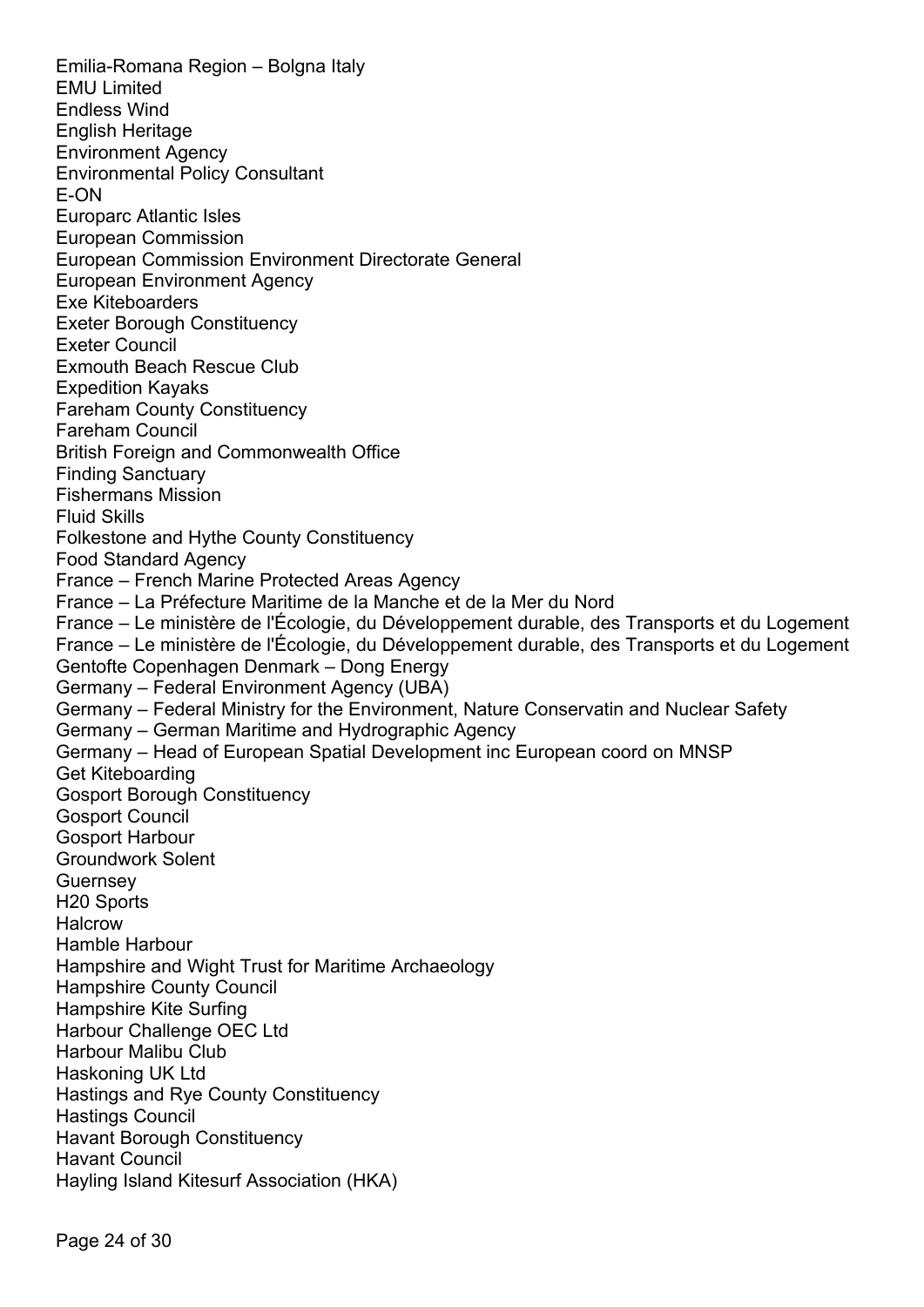Emilia-Romana Region – Bolgna Italy EMU Limited Endless Wind English Heritage Environment Agency Environmental Policy Consultant E-ON Europarc Atlantic Isles European Commission European Commission Environment Directorate General European Environment Agency Exe Kiteboarders Exeter Borough Constituency Exeter Council Exmouth Beach Rescue Club Expedition Kayaks Fareham County Constituency Fareham Council British Foreign and Commonwealth Office Finding Sanctuary Fishermans Mission Fluid Skills Folkestone and Hythe County Constituency Food Standard Agency France – French Marine Protected Areas Agency France – La Préfecture Maritime de la Manche et de la Mer du Nord France – Le ministère de l'Écologie, du Développement durable, des Transports et du Logement France – Le ministère de l'Écologie, du Développement durable, des Transports et du Logement Gentofte Copenhagen Denmark – Dong Energy Germany – Federal Environment Agency (UBA) Germany – Federal Ministry for the Environment, Nature Conservatin and Nuclear Safety Germany – German Maritime and Hydrographic Agency Germany – Head of European Spatial Development inc European coord on MNSP Get Kiteboarding Gosport Borough Constituency Gosport Council Gosport Harbour Groundwork Solent **Guernsey** H20 Sports **Halcrow** Hamble Harbour Hampshire and Wight Trust for Maritime Archaeology Hampshire County Council Hampshire Kite Surfing Harbour Challenge OEC Ltd Harbour Malibu Club Haskoning UK Ltd Hastings and Rye County Constituency Hastings Council Havant Borough Constituency Havant Council Hayling Island Kitesurf Association (HKA)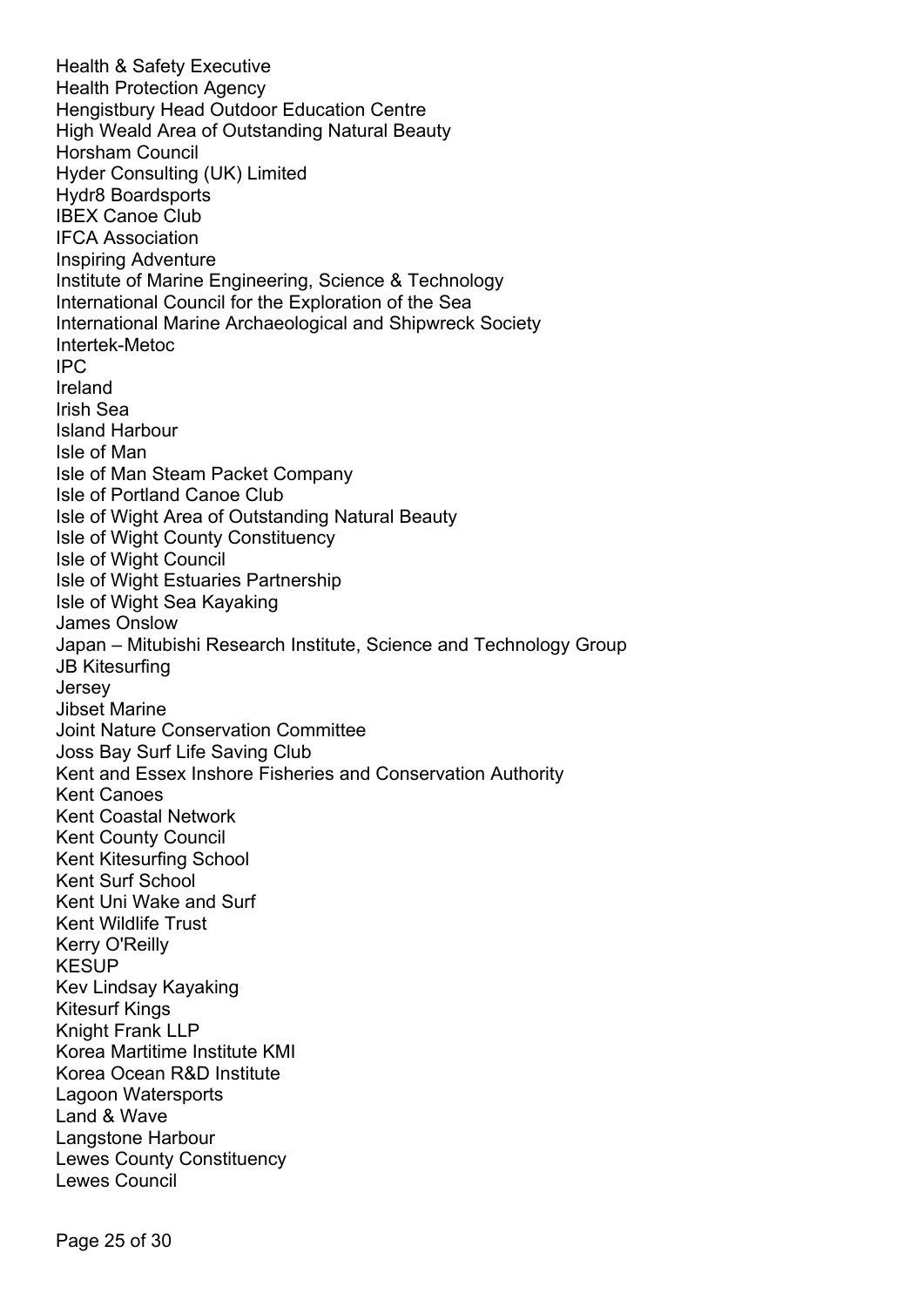Health & Safety Executive Health Protection Agency Hengistbury Head Outdoor Education Centre High Weald Area of Outstanding Natural Beauty Horsham Council Hyder Consulting (UK) Limited Hydr8 Boardsports IBEX Canoe Club IFCA Association Inspiring Adventure Institute of Marine Engineering, Science & Technology International Council for the Exploration of the Sea International Marine Archaeological and Shipwreck Society Intertek-Metoc IPC Ireland Irish Sea Island Harbour Isle of Man Isle of Man Steam Packet Company Isle of Portland Canoe Club Isle of Wight Area of Outstanding Natural Beauty Isle of Wight County Constituency Isle of Wight Council Isle of Wight Estuaries Partnership Isle of Wight Sea Kayaking James Onslow Japan – Mitubishi Research Institute, Science and Technology Group JB Kitesurfing Jersey Jibset Marine Joint Nature Conservation Committee Joss Bay Surf Life Saving Club Kent and Essex Inshore Fisheries and Conservation Authority Kent Canoes Kent Coastal Network Kent County Council Kent Kitesurfing School Kent Surf School Kent Uni Wake and Surf Kent Wildlife Trust Kerry O'Reilly **KESUP** Kev Lindsay Kayaking Kitesurf Kings Knight Frank LLP Korea Martitime Institute KMI Korea Ocean R&D Institute Lagoon Watersports Land & Wave Langstone Harbour Lewes County Constituency Lewes Council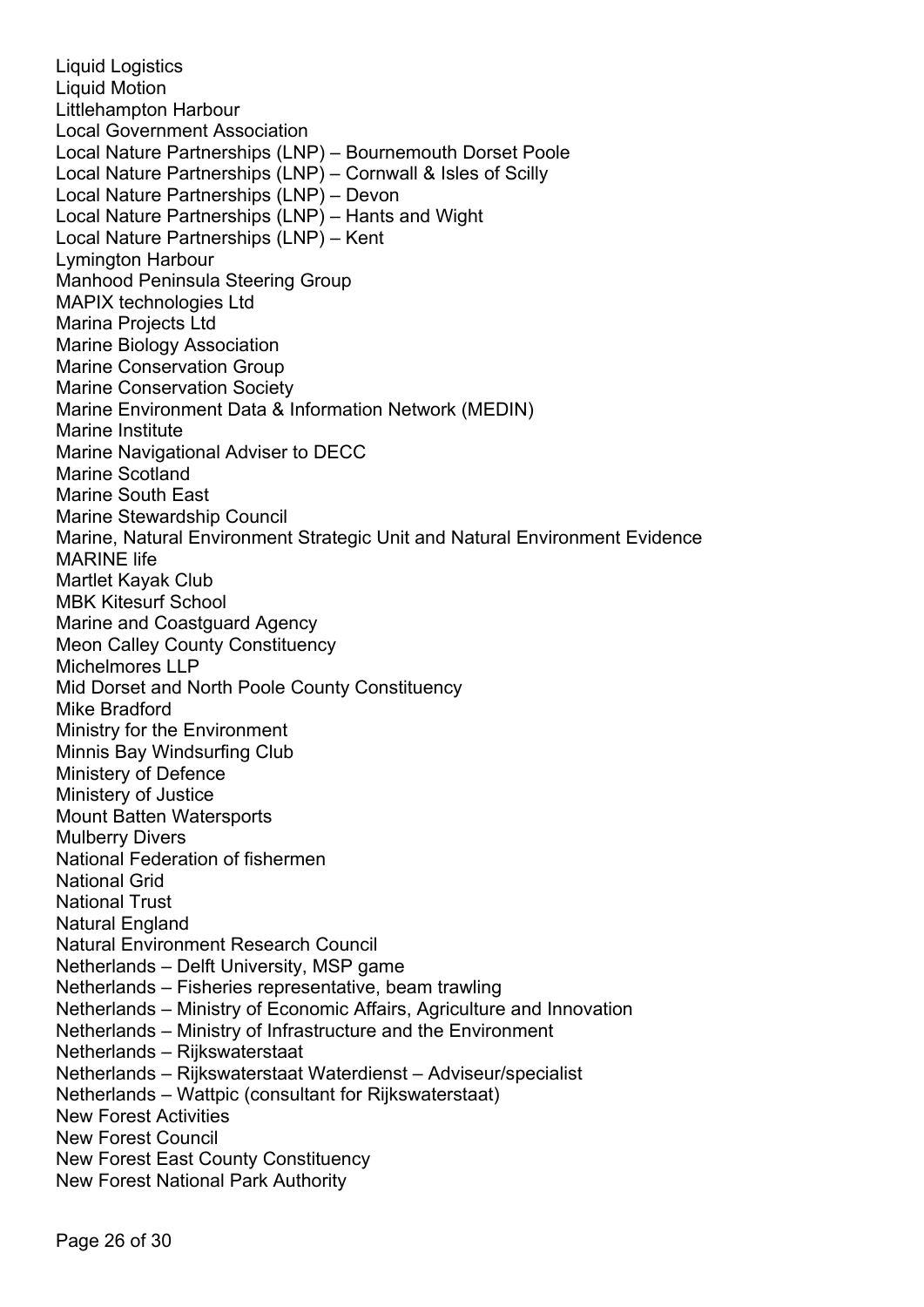Liquid Logistics Liquid Motion Littlehampton Harbour Local Government Association Local Nature Partnerships (LNP) – Bournemouth Dorset Poole Local Nature Partnerships (LNP) – Cornwall & Isles of Scilly Local Nature Partnerships (LNP) – Devon Local Nature Partnerships (LNP) – Hants and Wight Local Nature Partnerships (LNP) – Kent Lymington Harbour Manhood Peninsula Steering Group MAPIX technologies Ltd Marina Projects Ltd Marine Biology Association Marine Conservation Group Marine Conservation Society Marine Environment Data & Information Network (MEDIN) Marine Institute Marine Navigational Adviser to DECC Marine Scotland Marine South East Marine Stewardship Council Marine, Natural Environment Strategic Unit and Natural Environment Evidence MARINE life Martlet Kayak Club MBK Kitesurf School Marine and Coastguard Agency Meon Calley County Constituency Michelmores LLP Mid Dorset and North Poole County Constituency Mike Bradford Ministry for the Environment Minnis Bay Windsurfing Club Ministery of Defence Ministery of Justice Mount Batten Watersports Mulberry Divers National Federation of fishermen National Grid National Trust Natural England Natural Environment Research Council Netherlands – Delft University, MSP game Netherlands – Fisheries representative, beam trawling Netherlands – Ministry of Economic Affairs, Agriculture and Innovation Netherlands – Ministry of Infrastructure and the Environment Netherlands – Rijkswaterstaat Netherlands – Rijkswaterstaat Waterdienst – Adviseur/specialist Netherlands – Wattpic (consultant for Rijkswaterstaat) New Forest Activities New Forest Council New Forest East County Constituency New Forest National Park Authority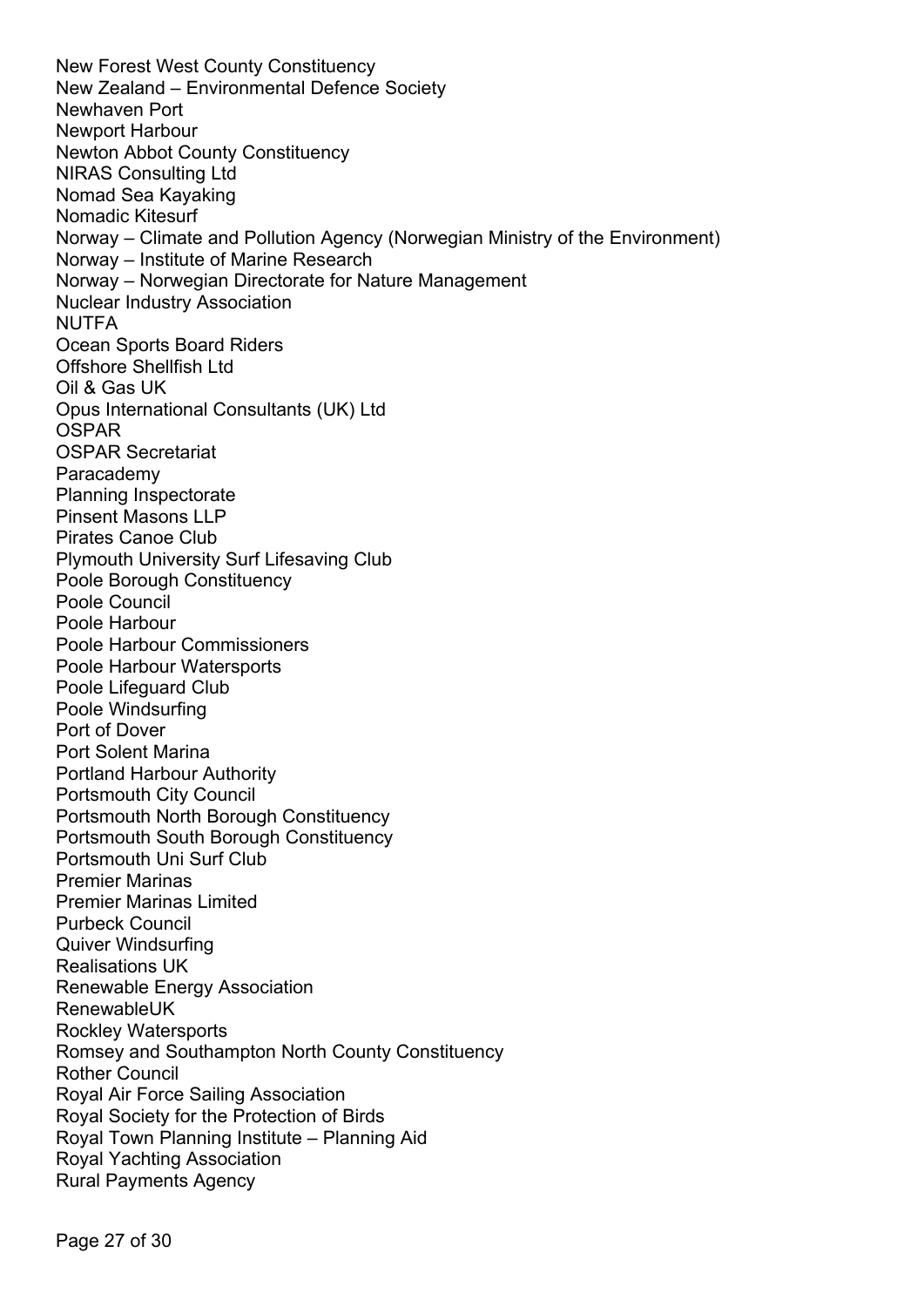New Forest West County Constituency New Zealand – Environmental Defence Society Newhaven Port Newport Harbour Newton Abbot County Constituency NIRAS Consulting Ltd Nomad Sea Kayaking Nomadic Kitesurf Norway – Climate and Pollution Agency (Norwegian Ministry of the Environment) Norway – Institute of Marine Research Norway – Norwegian Directorate for Nature Management Nuclear Industry Association NUTFA Ocean Sports Board Riders Offshore Shellfish Ltd Oil & Gas UK Opus International Consultants (UK) Ltd OSPAR [OSPAR Secretariat](mailto:David.Johnson@ospar.org)  Paracademy Planning Inspectorate Pinsent Masons LLP Pirates Canoe Club Plymouth University Surf Lifesaving Club Poole Borough Constituency Poole Council Poole Harbour Poole Harbour Commissioners Poole Harbour Watersports Poole Lifeguard Club Poole Windsurfing Port of Dover Port Solent Marina Portland Harbour Authority Portsmouth City Council Portsmouth North Borough Constituency Portsmouth South Borough Constituency Portsmouth Uni Surf Club Premier Marinas Premier Marinas Limited Purbeck Council Quiver Windsurfing Realisations UK Renewable Energy Association RenewableUK Rockley Watersports Romsey and Southampton North County Constituency Rother Council Royal Air Force Sailing Association Royal Society for the Protection of Birds Royal Town Planning Institute – Planning Aid Royal Yachting Association Rural Payments Agency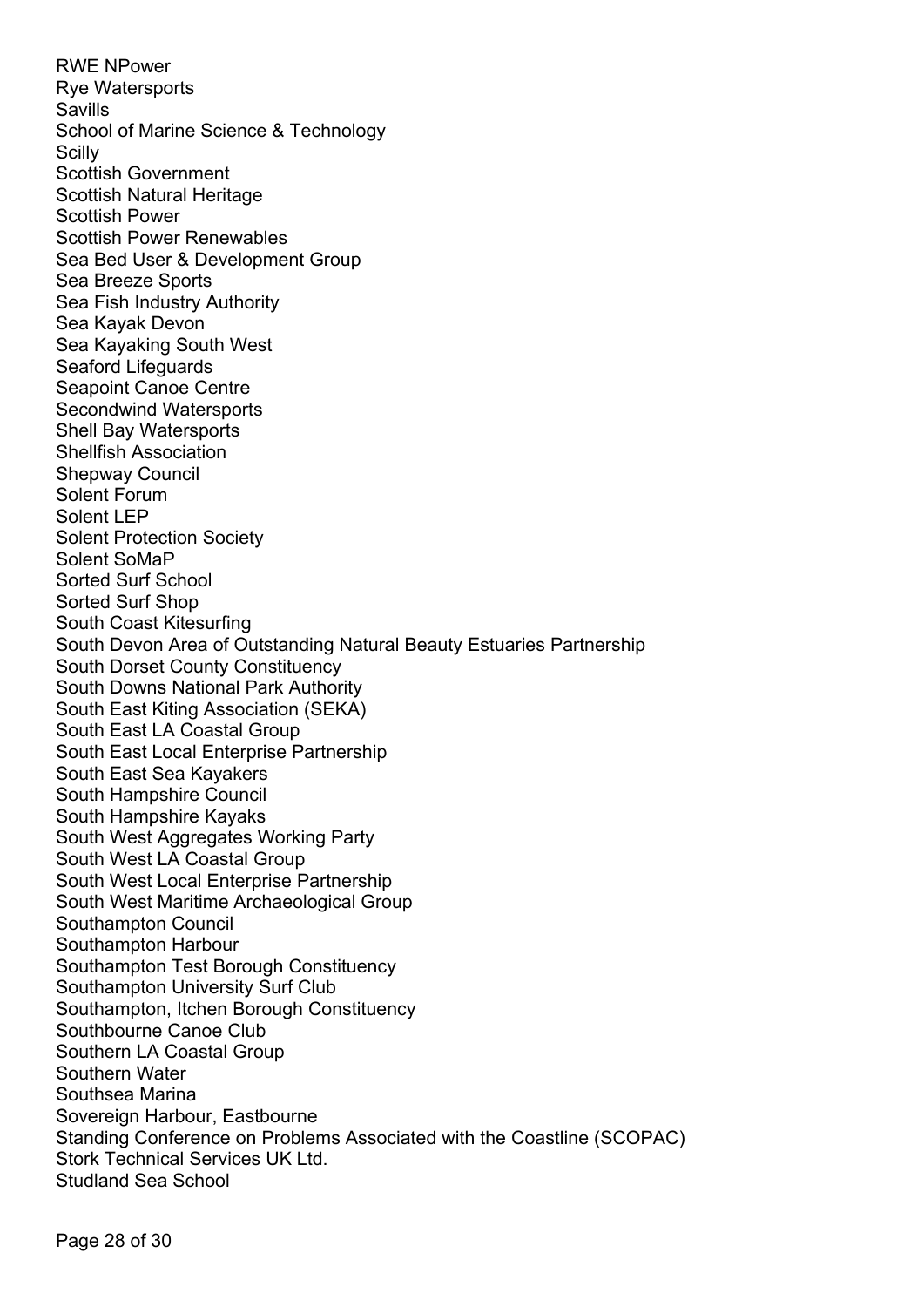RWE NPower Rye Watersports Savills School of Marine Science & Technology Scilly Scottish Government Scottish Natural Heritage Scottish Power Scottish Power Renewables Sea Bed User & Development Group Sea Breeze Sports Sea Fish Industry Authority Sea Kayak Devon Sea Kayaking South West Seaford Lifeguards Seapoint Canoe Centre Secondwind Watersports Shell Bay Watersports Shellfish Association Shepway Council Solent Forum Solent LEP Solent Protection Society Solent SoMaP Sorted Surf School Sorted Surf Shop South Coast Kitesurfing South Devon Area of Outstanding Natural Beauty Estuaries Partnership South Dorset County Constituency South Downs National Park Authority South East Kiting Association (SEKA) South East LA Coastal Group South East Local Enterprise Partnership South East Sea Kayakers South Hampshire Council South Hampshire Kayaks South West Aggregates Working Party South West LA Coastal Group South West Local Enterprise Partnership South West Maritime Archaeological Group Southampton Council Southampton Harbour Southampton Test Borough Constituency Southampton University Surf Club Southampton, Itchen Borough Constituency Southbourne Canoe Club Southern LA Coastal Group Southern Water Southsea Marina Sovereign Harbour, Eastbourne Standing Conference on Problems Associated with the Coastline (SCOPAC) Stork Technical Services UK Ltd. Studland Sea School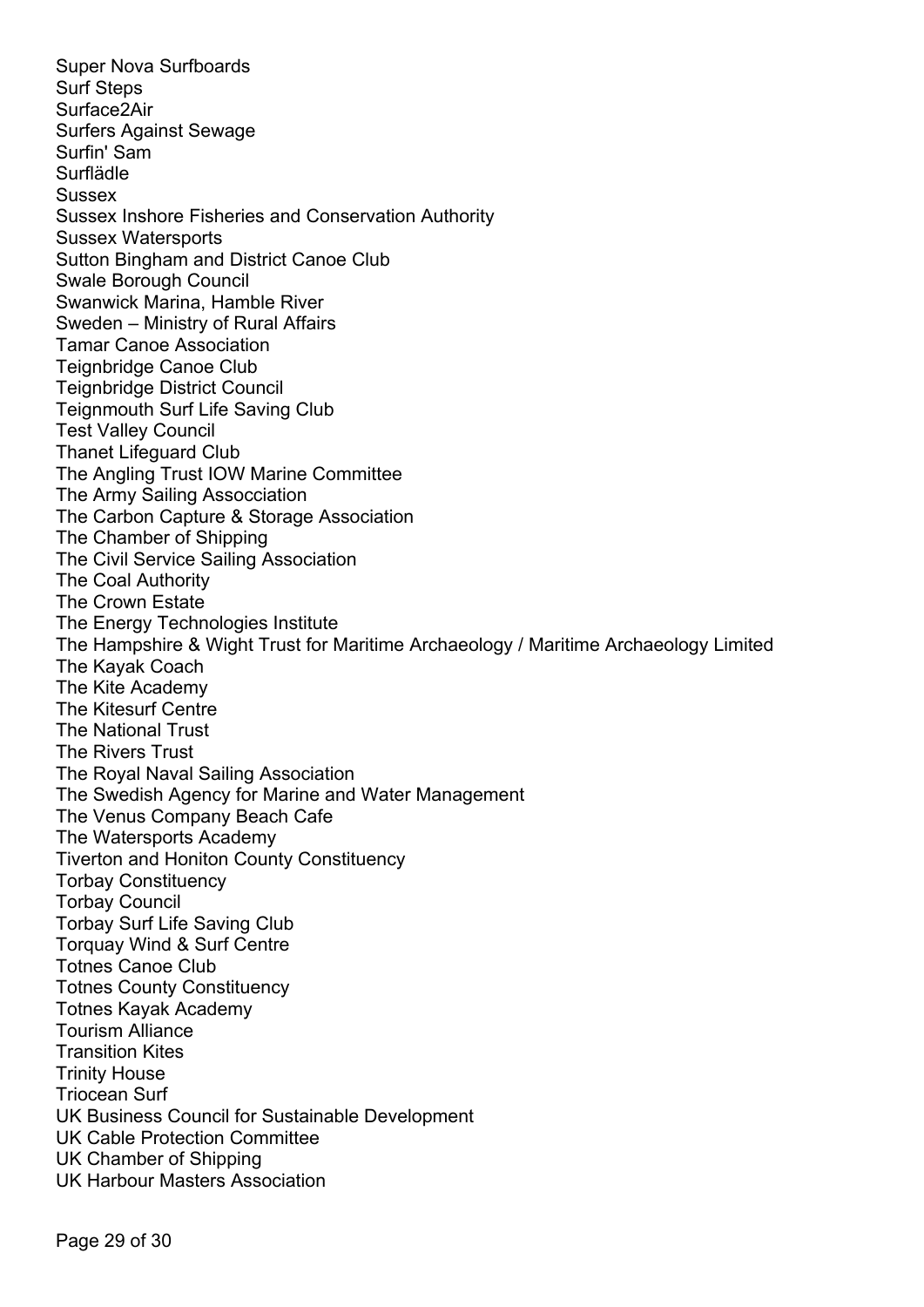Super Nova Surfboards Surf Steps Surface2Air Surfers Against Sewage Surfin' Sam Surflädle **Sussex** Sussex Inshore Fisheries and Conservation Authority Sussex Watersports Sutton Bingham and District Canoe Club Swale Borough Council Swanwick Marina, Hamble River Sweden – Ministry of Rural Affairs Tamar Canoe Association Teignbridge Canoe Club Teignbridge District Council Teignmouth Surf Life Saving Club Test Valley Council Thanet Lifeguard Club The Angling Trust IOW Marine Committee The Army Sailing Assocciation The Carbon Capture & Storage Association The Chamber of Shipping The Civil Service Sailing Association The Coal Authority The Crown Estate The Energy Technologies Institute The Hampshire & Wight Trust for Maritime Archaeology / Maritime Archaeology Limited The Kayak Coach The Kite Academy The Kitesurf Centre The National Trust The Rivers Trust The Royal Naval Sailing Association The Swedish Agency for Marine and Water Management The Venus Company Beach Cafe The Watersports Academy Tiverton and Honiton County Constituency Torbay Constituency Torbay Council Torbay Surf Life Saving Club Torquay Wind & Surf Centre Totnes Canoe Club Totnes County Constituency Totnes Kayak Academy Tourism Alliance Transition Kites Trinity House Triocean Surf UK Business Council for Sustainable Development UK Cable Protection Committee UK Chamber of Shipping UK Harbour Masters Association